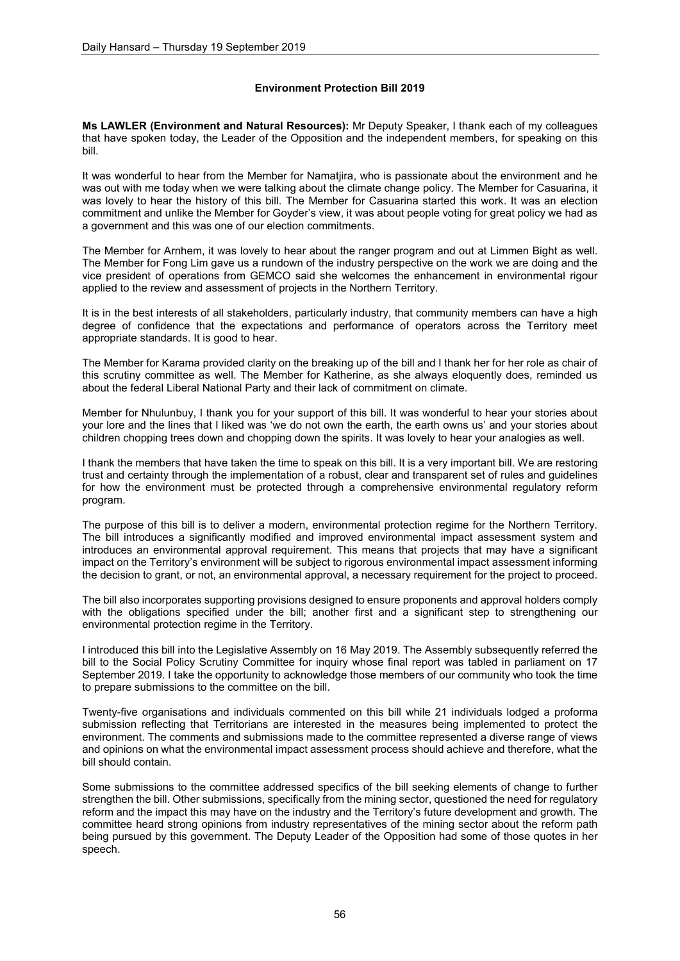# **Environment Protection Bill 2019**

**Ms LAWLER (Environment and Natural Resources):** Mr Deputy Speaker, I thank each of my colleagues that have spoken today, the Leader of the Opposition and the independent members, for speaking on this bill.

It was wonderful to hear from the Member for Namatjira, who is passionate about the environment and he was out with me today when we were talking about the climate change policy. The Member for Casuarina, it was lovely to hear the history of this bill. The Member for Casuarina started this work. It was an election commitment and unlike the Member for Goyder's view, it was about people voting for great policy we had as a government and this was one of our election commitments.

The Member for Arnhem, it was lovely to hear about the ranger program and out at Limmen Bight as well. The Member for Fong Lim gave us a rundown of the industry perspective on the work we are doing and the vice president of operations from GEMCO said she welcomes the enhancement in environmental rigour applied to the review and assessment of projects in the Northern Territory.

It is in the best interests of all stakeholders, particularly industry, that community members can have a high degree of confidence that the expectations and performance of operators across the Territory meet appropriate standards. It is good to hear.

The Member for Karama provided clarity on the breaking up of the bill and I thank her for her role as chair of this scrutiny committee as well. The Member for Katherine, as she always eloquently does, reminded us about the federal Liberal National Party and their lack of commitment on climate.

Member for Nhulunbuy, I thank you for your support of this bill. It was wonderful to hear your stories about your lore and the lines that I liked was 'we do not own the earth, the earth owns us' and your stories about children chopping trees down and chopping down the spirits. It was lovely to hear your analogies as well.

I thank the members that have taken the time to speak on this bill. It is a very important bill. We are restoring trust and certainty through the implementation of a robust, clear and transparent set of rules and guidelines for how the environment must be protected through a comprehensive environmental regulatory reform program.

The purpose of this bill is to deliver a modern, environmental protection regime for the Northern Territory. The bill introduces a significantly modified and improved environmental impact assessment system and introduces an environmental approval requirement. This means that projects that may have a significant impact on the Territory's environment will be subject to rigorous environmental impact assessment informing the decision to grant, or not, an environmental approval, a necessary requirement for the project to proceed.

The bill also incorporates supporting provisions designed to ensure proponents and approval holders comply with the obligations specified under the bill; another first and a significant step to strengthening our environmental protection regime in the Territory.

I introduced this bill into the Legislative Assembly on 16 May 2019. The Assembly subsequently referred the bill to the Social Policy Scrutiny Committee for inquiry whose final report was tabled in parliament on 17 September 2019. I take the opportunity to acknowledge those members of our community who took the time to prepare submissions to the committee on the bill.

Twenty-five organisations and individuals commented on this bill while 21 individuals lodged a proforma submission reflecting that Territorians are interested in the measures being implemented to protect the environment. The comments and submissions made to the committee represented a diverse range of views and opinions on what the environmental impact assessment process should achieve and therefore, what the bill should contain.

Some submissions to the committee addressed specifics of the bill seeking elements of change to further strengthen the bill. Other submissions, specifically from the mining sector, questioned the need for regulatory reform and the impact this may have on the industry and the Territory's future development and growth. The committee heard strong opinions from industry representatives of the mining sector about the reform path being pursued by this government. The Deputy Leader of the Opposition had some of those quotes in her speech.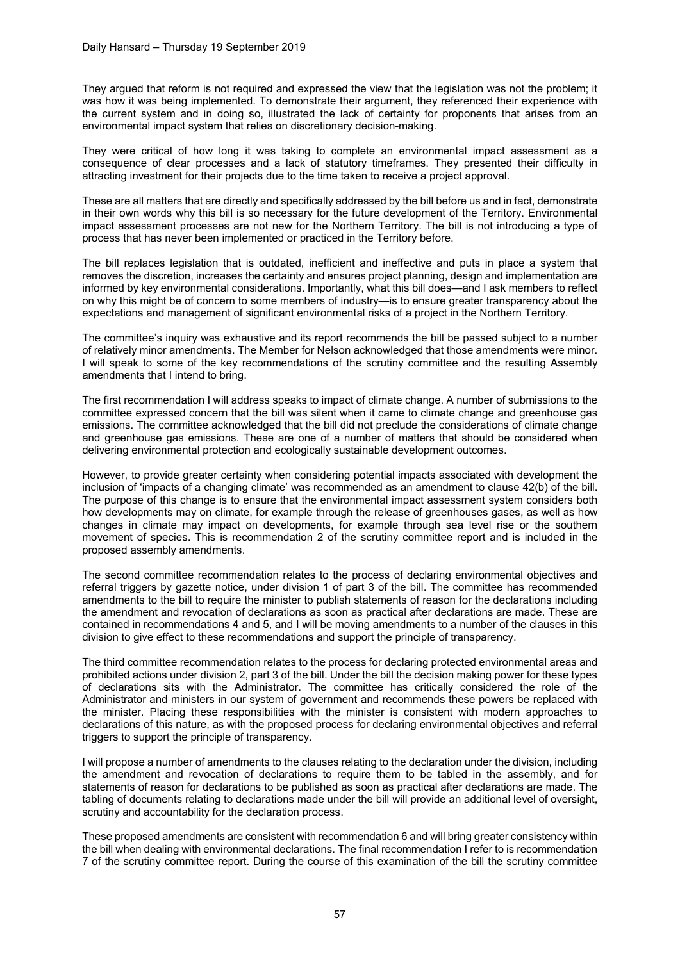They argued that reform is not required and expressed the view that the legislation was not the problem; it was how it was being implemented. To demonstrate their argument, they referenced their experience with the current system and in doing so, illustrated the lack of certainty for proponents that arises from an environmental impact system that relies on discretionary decision-making.

They were critical of how long it was taking to complete an environmental impact assessment as a consequence of clear processes and a lack of statutory timeframes. They presented their difficulty in attracting investment for their projects due to the time taken to receive a project approval.

These are all matters that are directly and specifically addressed by the bill before us and in fact, demonstrate in their own words why this bill is so necessary for the future development of the Territory. Environmental impact assessment processes are not new for the Northern Territory. The bill is not introducing a type of process that has never been implemented or practiced in the Territory before.

The bill replaces legislation that is outdated, inefficient and ineffective and puts in place a system that removes the discretion, increases the certainty and ensures project planning, design and implementation are informed by key environmental considerations. Importantly, what this bill does—and I ask members to reflect on why this might be of concern to some members of industry—is to ensure greater transparency about the expectations and management of significant environmental risks of a project in the Northern Territory.

The committee's inquiry was exhaustive and its report recommends the bill be passed subject to a number of relatively minor amendments. The Member for Nelson acknowledged that those amendments were minor. I will speak to some of the key recommendations of the scrutiny committee and the resulting Assembly amendments that I intend to bring.

The first recommendation I will address speaks to impact of climate change. A number of submissions to the committee expressed concern that the bill was silent when it came to climate change and greenhouse gas emissions. The committee acknowledged that the bill did not preclude the considerations of climate change and greenhouse gas emissions. These are one of a number of matters that should be considered when delivering environmental protection and ecologically sustainable development outcomes.

However, to provide greater certainty when considering potential impacts associated with development the inclusion of 'impacts of a changing climate' was recommended as an amendment to clause 42(b) of the bill. The purpose of this change is to ensure that the environmental impact assessment system considers both how developments may on climate, for example through the release of greenhouses gases, as well as how changes in climate may impact on developments, for example through sea level rise or the southern movement of species. This is recommendation 2 of the scrutiny committee report and is included in the proposed assembly amendments.

The second committee recommendation relates to the process of declaring environmental objectives and referral triggers by gazette notice, under division 1 of part 3 of the bill. The committee has recommended amendments to the bill to require the minister to publish statements of reason for the declarations including the amendment and revocation of declarations as soon as practical after declarations are made. These are contained in recommendations 4 and 5, and I will be moving amendments to a number of the clauses in this division to give effect to these recommendations and support the principle of transparency.

The third committee recommendation relates to the process for declaring protected environmental areas and prohibited actions under division 2, part 3 of the bill. Under the bill the decision making power for these types of declarations sits with the Administrator. The committee has critically considered the role of the Administrator and ministers in our system of government and recommends these powers be replaced with the minister. Placing these responsibilities with the minister is consistent with modern approaches to declarations of this nature, as with the proposed process for declaring environmental objectives and referral triggers to support the principle of transparency.

I will propose a number of amendments to the clauses relating to the declaration under the division, including the amendment and revocation of declarations to require them to be tabled in the assembly, and for statements of reason for declarations to be published as soon as practical after declarations are made. The tabling of documents relating to declarations made under the bill will provide an additional level of oversight, scrutiny and accountability for the declaration process.

These proposed amendments are consistent with recommendation 6 and will bring greater consistency within the bill when dealing with environmental declarations. The final recommendation I refer to is recommendation 7 of the scrutiny committee report. During the course of this examination of the bill the scrutiny committee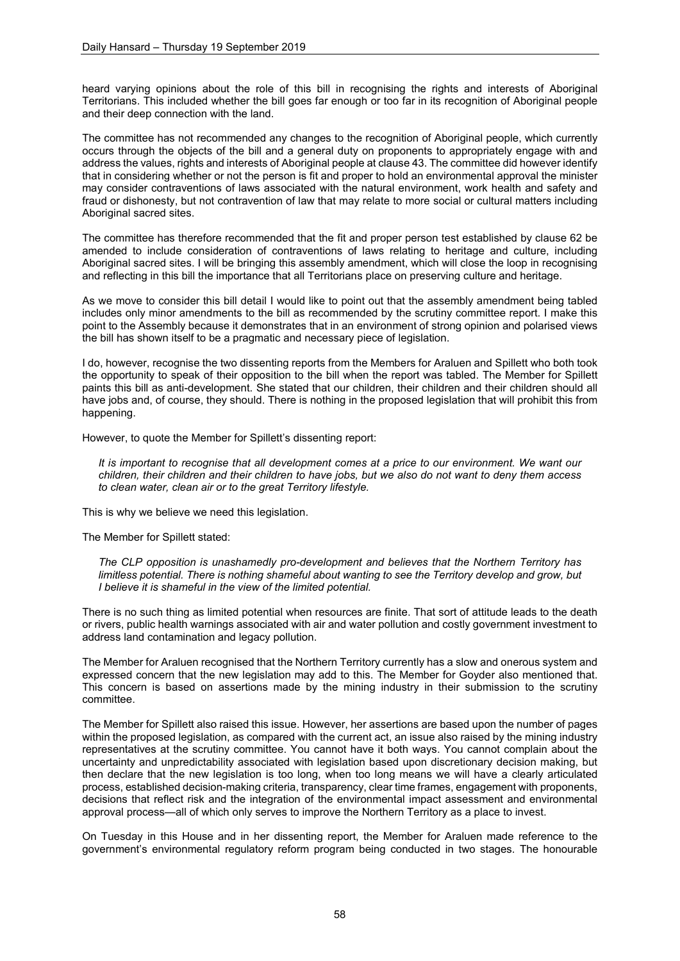heard varying opinions about the role of this bill in recognising the rights and interests of Aboriginal Territorians. This included whether the bill goes far enough or too far in its recognition of Aboriginal people and their deep connection with the land.

The committee has not recommended any changes to the recognition of Aboriginal people, which currently occurs through the objects of the bill and a general duty on proponents to appropriately engage with and address the values, rights and interests of Aboriginal people at clause 43. The committee did however identify that in considering whether or not the person is fit and proper to hold an environmental approval the minister may consider contraventions of laws associated with the natural environment, work health and safety and fraud or dishonesty, but not contravention of law that may relate to more social or cultural matters including Aboriginal sacred sites.

The committee has therefore recommended that the fit and proper person test established by clause 62 be amended to include consideration of contraventions of laws relating to heritage and culture, including Aboriginal sacred sites. I will be bringing this assembly amendment, which will close the loop in recognising and reflecting in this bill the importance that all Territorians place on preserving culture and heritage.

As we move to consider this bill detail I would like to point out that the assembly amendment being tabled includes only minor amendments to the bill as recommended by the scrutiny committee report. I make this point to the Assembly because it demonstrates that in an environment of strong opinion and polarised views the bill has shown itself to be a pragmatic and necessary piece of legislation.

I do, however, recognise the two dissenting reports from the Members for Araluen and Spillett who both took the opportunity to speak of their opposition to the bill when the report was tabled. The Member for Spillett paints this bill as anti-development. She stated that our children, their children and their children should all have jobs and, of course, they should. There is nothing in the proposed legislation that will prohibit this from happening.

However, to quote the Member for Spillett's dissenting report:

*It is important to recognise that all development comes at a price to our environment. We want our children, their children and their children to have jobs, but we also do not want to deny them access to clean water, clean air or to the great Territory lifestyle.*

This is why we believe we need this legislation.

The Member for Spillett stated:

*The CLP opposition is unashamedly pro-development and believes that the Northern Territory has limitless potential. There is nothing shameful about wanting to see the Territory develop and grow, but I believe it is shameful in the view of the limited potential.* 

There is no such thing as limited potential when resources are finite. That sort of attitude leads to the death or rivers, public health warnings associated with air and water pollution and costly government investment to address land contamination and legacy pollution.

The Member for Araluen recognised that the Northern Territory currently has a slow and onerous system and expressed concern that the new legislation may add to this. The Member for Goyder also mentioned that. This concern is based on assertions made by the mining industry in their submission to the scrutiny committee.

The Member for Spillett also raised this issue. However, her assertions are based upon the number of pages within the proposed legislation, as compared with the current act, an issue also raised by the mining industry representatives at the scrutiny committee. You cannot have it both ways. You cannot complain about the uncertainty and unpredictability associated with legislation based upon discretionary decision making, but then declare that the new legislation is too long, when too long means we will have a clearly articulated process, established decision-making criteria, transparency, clear time frames, engagement with proponents, decisions that reflect risk and the integration of the environmental impact assessment and environmental approval process—all of which only serves to improve the Northern Territory as a place to invest.

On Tuesday in this House and in her dissenting report, the Member for Araluen made reference to the government's environmental regulatory reform program being conducted in two stages. The honourable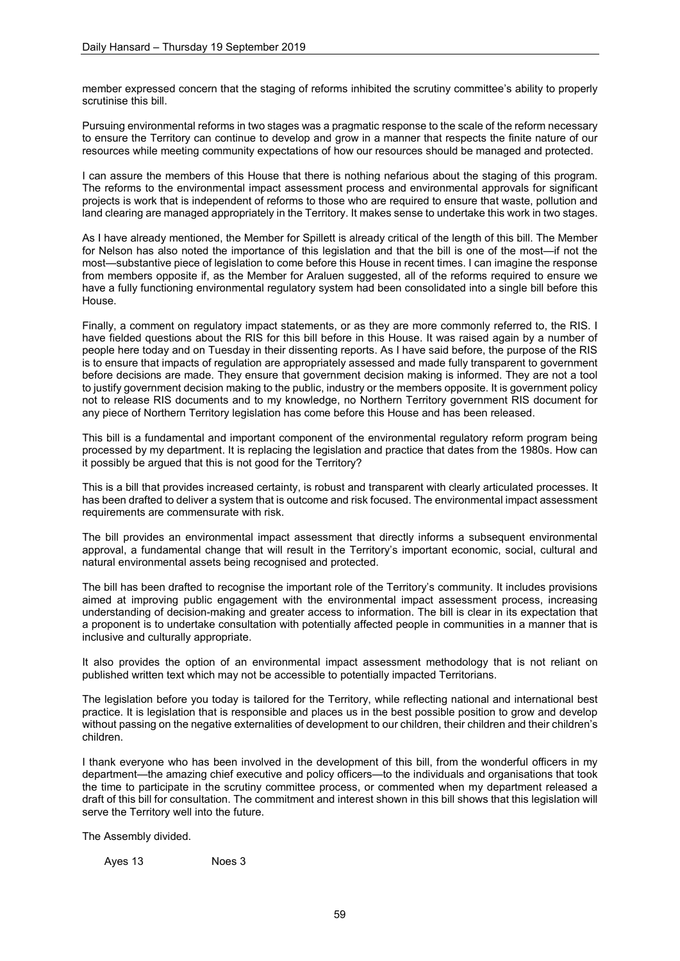member expressed concern that the staging of reforms inhibited the scrutiny committee's ability to properly scrutinise this bill.

Pursuing environmental reforms in two stages was a pragmatic response to the scale of the reform necessary to ensure the Territory can continue to develop and grow in a manner that respects the finite nature of our resources while meeting community expectations of how our resources should be managed and protected.

I can assure the members of this House that there is nothing nefarious about the staging of this program. The reforms to the environmental impact assessment process and environmental approvals for significant projects is work that is independent of reforms to those who are required to ensure that waste, pollution and land clearing are managed appropriately in the Territory. It makes sense to undertake this work in two stages.

As I have already mentioned, the Member for Spillett is already critical of the length of this bill. The Member for Nelson has also noted the importance of this legislation and that the bill is one of the most—if not the most—substantive piece of legislation to come before this House in recent times. I can imagine the response from members opposite if, as the Member for Araluen suggested, all of the reforms required to ensure we have a fully functioning environmental regulatory system had been consolidated into a single bill before this House.

Finally, a comment on regulatory impact statements, or as they are more commonly referred to, the RIS. I have fielded questions about the RIS for this bill before in this House. It was raised again by a number of people here today and on Tuesday in their dissenting reports. As I have said before, the purpose of the RIS is to ensure that impacts of regulation are appropriately assessed and made fully transparent to government before decisions are made. They ensure that government decision making is informed. They are not a tool to justify government decision making to the public, industry or the members opposite. It is government policy not to release RIS documents and to my knowledge, no Northern Territory government RIS document for any piece of Northern Territory legislation has come before this House and has been released.

This bill is a fundamental and important component of the environmental regulatory reform program being processed by my department. It is replacing the legislation and practice that dates from the 1980s. How can it possibly be argued that this is not good for the Territory?

This is a bill that provides increased certainty, is robust and transparent with clearly articulated processes. It has been drafted to deliver a system that is outcome and risk focused. The environmental impact assessment requirements are commensurate with risk.

The bill provides an environmental impact assessment that directly informs a subsequent environmental approval, a fundamental change that will result in the Territory's important economic, social, cultural and natural environmental assets being recognised and protected.

The bill has been drafted to recognise the important role of the Territory's community. It includes provisions aimed at improving public engagement with the environmental impact assessment process, increasing understanding of decision-making and greater access to information. The bill is clear in its expectation that a proponent is to undertake consultation with potentially affected people in communities in a manner that is inclusive and culturally appropriate.

It also provides the option of an environmental impact assessment methodology that is not reliant on published written text which may not be accessible to potentially impacted Territorians.

The legislation before you today is tailored for the Territory, while reflecting national and international best practice. It is legislation that is responsible and places us in the best possible position to grow and develop without passing on the negative externalities of development to our children, their children and their children's children.

I thank everyone who has been involved in the development of this bill, from the wonderful officers in my department—the amazing chief executive and policy officers—to the individuals and organisations that took the time to participate in the scrutiny committee process, or commented when my department released a draft of this bill for consultation. The commitment and interest shown in this bill shows that this legislation will serve the Territory well into the future.

The Assembly divided.

Ayes 13 Noes 3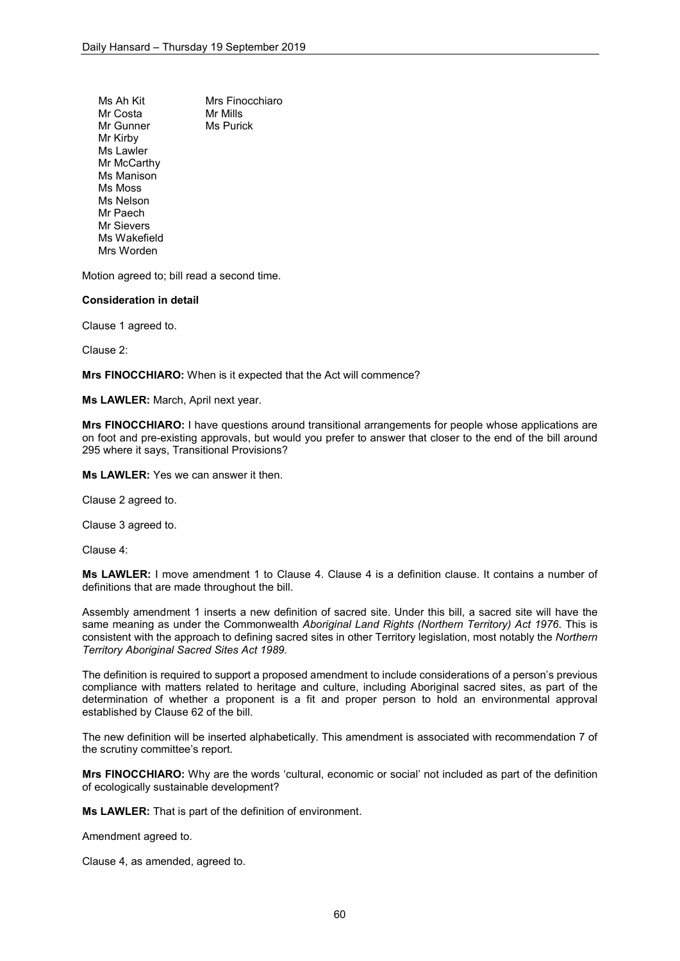Ms Ah Kit Mrs Finocchiaro<br>Mr Costa Mr Mills Mr Costa<br>Mr Gunner Ms Purick Mr Gunner Mr Kirby Ms Lawler Mr McCarthy Ms Manison Ms Moss Ms Nelson Mr Paech Mr Sievers Ms Wakefield Mrs Worden

Motion agreed to; bill read a second time.

## **Consideration in detail**

Clause 1 agreed to.

Clause 2:

**Mrs FINOCCHIARO:** When is it expected that the Act will commence?

**Ms LAWLER:** March, April next year.

**Mrs FINOCCHIARO:** I have questions around transitional arrangements for people whose applications are on foot and pre-existing approvals, but would you prefer to answer that closer to the end of the bill around 295 where it says, Transitional Provisions?

**Ms LAWLER:** Yes we can answer it then.

Clause 2 agreed to.

Clause 3 agreed to.

Clause 4:

**Ms LAWLER:** I move amendment 1 to Clause 4. Clause 4 is a definition clause. It contains a number of definitions that are made throughout the bill.

Assembly amendment 1 inserts a new definition of sacred site. Under this bill, a sacred site will have the same meaning as under the Commonwealth *Aboriginal Land Rights (Northern Territory) Act 1976*. This is consistent with the approach to defining sacred sites in other Territory legislation, most notably the *Northern Territory Aboriginal Sacred Sites Act 1989.*

The definition is required to support a proposed amendment to include considerations of a person's previous compliance with matters related to heritage and culture, including Aboriginal sacred sites, as part of the determination of whether a proponent is a fit and proper person to hold an environmental approval established by Clause 62 of the bill.

The new definition will be inserted alphabetically. This amendment is associated with recommendation 7 of the scrutiny committee's report.

**Mrs FINOCCHIARO:** Why are the words 'cultural, economic or social' not included as part of the definition of ecologically sustainable development?

**Ms LAWLER:** That is part of the definition of environment.

Amendment agreed to.

Clause 4, as amended, agreed to.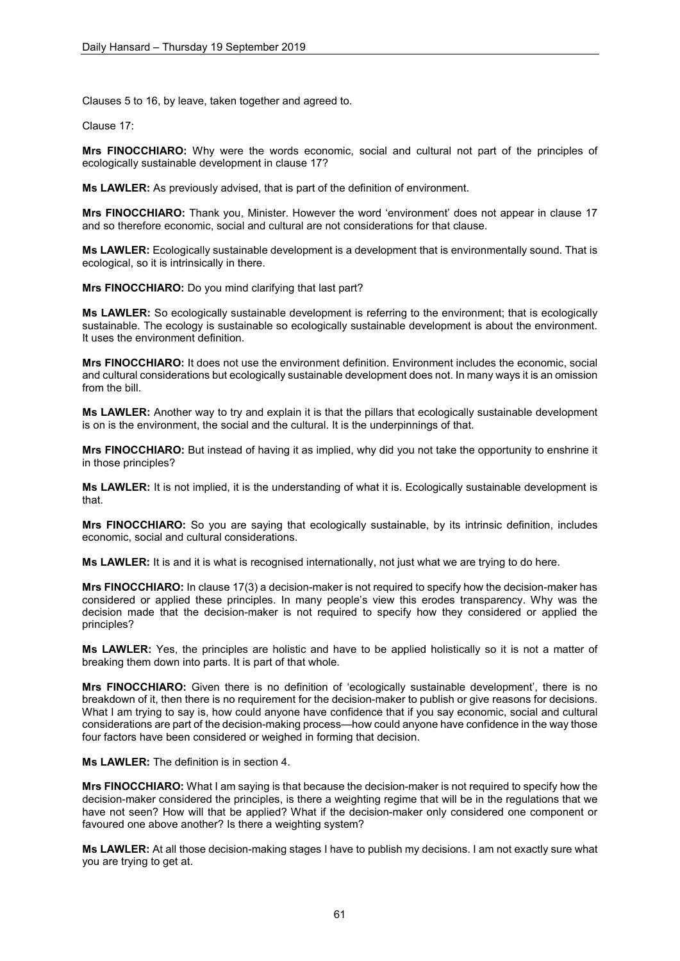Clauses 5 to 16, by leave, taken together and agreed to.

Clause 17:

**Mrs FINOCCHIARO:** Why were the words economic, social and cultural not part of the principles of ecologically sustainable development in clause 17?

**Ms LAWLER:** As previously advised, that is part of the definition of environment.

**Mrs FINOCCHIARO:** Thank you, Minister. However the word 'environment' does not appear in clause 17 and so therefore economic, social and cultural are not considerations for that clause.

**Ms LAWLER:** Ecologically sustainable development is a development that is environmentally sound. That is ecological, so it is intrinsically in there.

**Mrs FINOCCHIARO:** Do you mind clarifying that last part?

**Ms LAWLER:** So ecologically sustainable development is referring to the environment; that is ecologically sustainable. The ecology is sustainable so ecologically sustainable development is about the environment. It uses the environment definition.

**Mrs FINOCCHIARO:** It does not use the environment definition. Environment includes the economic, social and cultural considerations but ecologically sustainable development does not. In many ways it is an omission from the bill.

**Ms LAWLER:** Another way to try and explain it is that the pillars that ecologically sustainable development is on is the environment, the social and the cultural. It is the underpinnings of that.

**Mrs FINOCCHIARO:** But instead of having it as implied, why did you not take the opportunity to enshrine it in those principles?

**Ms LAWLER:** It is not implied, it is the understanding of what it is. Ecologically sustainable development is that.

**Mrs FINOCCHIARO:** So you are saying that ecologically sustainable, by its intrinsic definition, includes economic, social and cultural considerations.

**Ms LAWLER:** It is and it is what is recognised internationally, not just what we are trying to do here.

**Mrs FINOCCHIARO:** In clause 17(3) a decision-maker is not required to specify how the decision-maker has considered or applied these principles. In many people's view this erodes transparency. Why was the decision made that the decision-maker is not required to specify how they considered or applied the principles?

**Ms LAWLER:** Yes, the principles are holistic and have to be applied holistically so it is not a matter of breaking them down into parts. It is part of that whole.

**Mrs FINOCCHIARO:** Given there is no definition of 'ecologically sustainable development', there is no breakdown of it, then there is no requirement for the decision-maker to publish or give reasons for decisions. What I am trying to say is, how could anyone have confidence that if you say economic, social and cultural considerations are part of the decision-making process—how could anyone have confidence in the way those four factors have been considered or weighed in forming that decision.

**Ms LAWLER:** The definition is in section 4.

**Mrs FINOCCHIARO:** What I am saying is that because the decision-maker is not required to specify how the decision-maker considered the principles, is there a weighting regime that will be in the regulations that we have not seen? How will that be applied? What if the decision-maker only considered one component or favoured one above another? Is there a weighting system?

**Ms LAWLER:** At all those decision-making stages I have to publish my decisions. I am not exactly sure what you are trying to get at.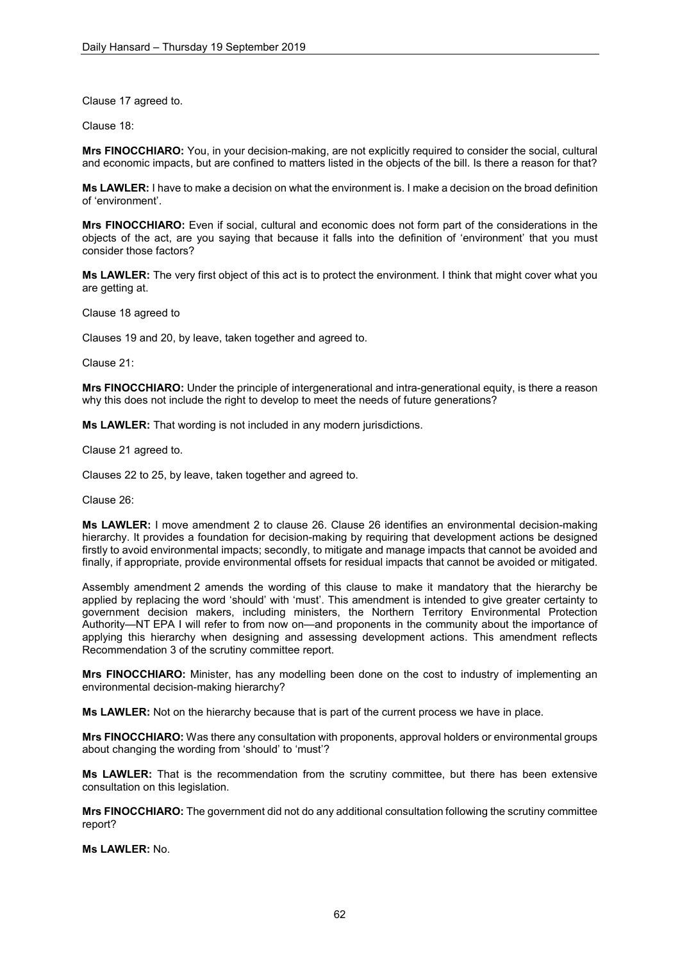Clause 17 agreed to.

Clause 18:

**Mrs FINOCCHIARO:** You, in your decision-making, are not explicitly required to consider the social, cultural and economic impacts, but are confined to matters listed in the objects of the bill. Is there a reason for that?

**Ms LAWLER:** I have to make a decision on what the environment is. I make a decision on the broad definition of 'environment'.

**Mrs FINOCCHIARO:** Even if social, cultural and economic does not form part of the considerations in the objects of the act, are you saying that because it falls into the definition of 'environment' that you must consider those factors?

**Ms LAWLER:** The very first object of this act is to protect the environment. I think that might cover what you are getting at.

Clause 18 agreed to

Clauses 19 and 20, by leave, taken together and agreed to.

Clause 21:

**Mrs FINOCCHIARO:** Under the principle of intergenerational and intra-generational equity, is there a reason why this does not include the right to develop to meet the needs of future generations?

**Ms LAWLER:** That wording is not included in any modern jurisdictions.

Clause 21 agreed to.

Clauses 22 to 25, by leave, taken together and agreed to.

Clause 26:

**Ms LAWLER:** I move amendment 2 to clause 26. Clause 26 identifies an environmental decision-making hierarchy. It provides a foundation for decision-making by requiring that development actions be designed firstly to avoid environmental impacts; secondly, to mitigate and manage impacts that cannot be avoided and finally, if appropriate, provide environmental offsets for residual impacts that cannot be avoided or mitigated.

Assembly amendment 2 amends the wording of this clause to make it mandatory that the hierarchy be applied by replacing the word 'should' with 'must'. This amendment is intended to give greater certainty to government decision makers, including ministers, the Northern Territory Environmental Protection Authority—NT EPA I will refer to from now on—and proponents in the community about the importance of applying this hierarchy when designing and assessing development actions. This amendment reflects Recommendation 3 of the scrutiny committee report.

**Mrs FINOCCHIARO:** Minister, has any modelling been done on the cost to industry of implementing an environmental decision-making hierarchy?

**Ms LAWLER:** Not on the hierarchy because that is part of the current process we have in place.

**Mrs FINOCCHIARO:** Was there any consultation with proponents, approval holders or environmental groups about changing the wording from 'should' to 'must'?

**Ms LAWLER:** That is the recommendation from the scrutiny committee, but there has been extensive consultation on this legislation.

**Mrs FINOCCHIARO:** The government did not do any additional consultation following the scrutiny committee report?

**Ms LAWLER:** No.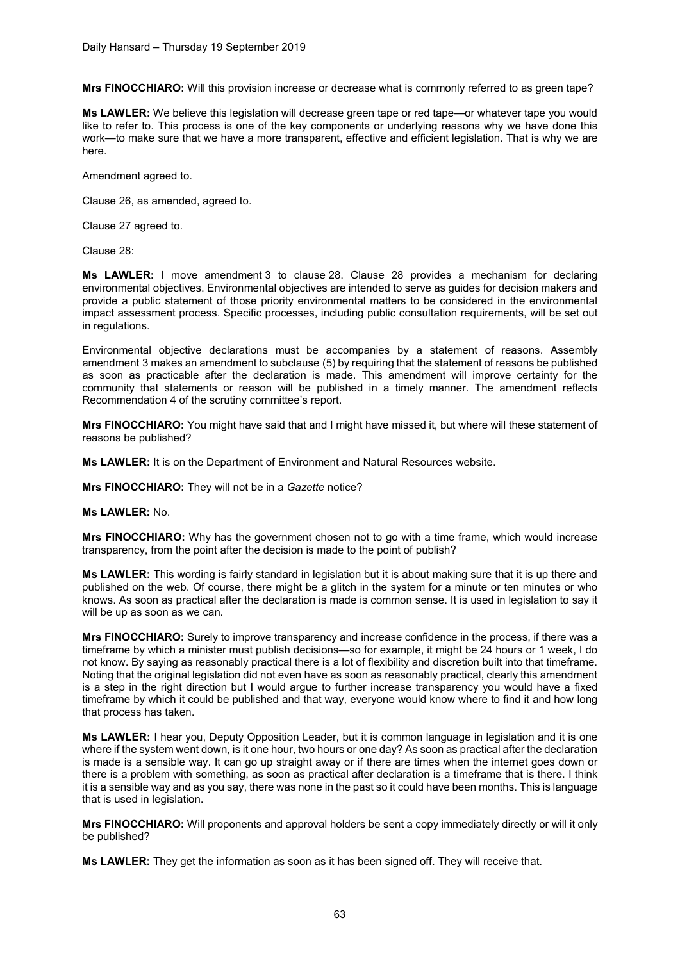**Mrs FINOCCHIARO:** Will this provision increase or decrease what is commonly referred to as green tape?

**Ms LAWLER:** We believe this legislation will decrease green tape or red tape—or whatever tape you would like to refer to. This process is one of the key components or underlying reasons why we have done this work—to make sure that we have a more transparent, effective and efficient legislation. That is why we are here.

Amendment agreed to.

Clause 26, as amended, agreed to.

Clause 27 agreed to.

Clause 28:

**Ms LAWLER:** I move amendment 3 to clause 28. Clause 28 provides a mechanism for declaring environmental objectives. Environmental objectives are intended to serve as guides for decision makers and provide a public statement of those priority environmental matters to be considered in the environmental impact assessment process. Specific processes, including public consultation requirements, will be set out in regulations.

Environmental objective declarations must be accompanies by a statement of reasons. Assembly amendment 3 makes an amendment to subclause (5) by requiring that the statement of reasons be published as soon as practicable after the declaration is made. This amendment will improve certainty for the community that statements or reason will be published in a timely manner. The amendment reflects Recommendation 4 of the scrutiny committee's report.

**Mrs FINOCCHIARO:** You might have said that and I might have missed it, but where will these statement of reasons be published?

**Ms LAWLER:** It is on the Department of Environment and Natural Resources website.

**Mrs FINOCCHIARO:** They will not be in a *Gazette* notice?

**Ms LAWLER:** No.

**Mrs FINOCCHIARO:** Why has the government chosen not to go with a time frame, which would increase transparency, from the point after the decision is made to the point of publish?

**Ms LAWLER:** This wording is fairly standard in legislation but it is about making sure that it is up there and published on the web. Of course, there might be a glitch in the system for a minute or ten minutes or who knows. As soon as practical after the declaration is made is common sense. It is used in legislation to say it will be up as soon as we can.

**Mrs FINOCCHIARO:** Surely to improve transparency and increase confidence in the process, if there was a timeframe by which a minister must publish decisions—so for example, it might be 24 hours or 1 week, I do not know. By saying as reasonably practical there is a lot of flexibility and discretion built into that timeframe. Noting that the original legislation did not even have as soon as reasonably practical, clearly this amendment is a step in the right direction but I would argue to further increase transparency you would have a fixed timeframe by which it could be published and that way, everyone would know where to find it and how long that process has taken.

**Ms LAWLER:** I hear you, Deputy Opposition Leader, but it is common language in legislation and it is one where if the system went down, is it one hour, two hours or one day? As soon as practical after the declaration is made is a sensible way. It can go up straight away or if there are times when the internet goes down or there is a problem with something, as soon as practical after declaration is a timeframe that is there. I think it is a sensible way and as you say, there was none in the past so it could have been months. This is language that is used in legislation.

**Mrs FINOCCHIARO:** Will proponents and approval holders be sent a copy immediately directly or will it only be published?

**Ms LAWLER:** They get the information as soon as it has been signed off. They will receive that.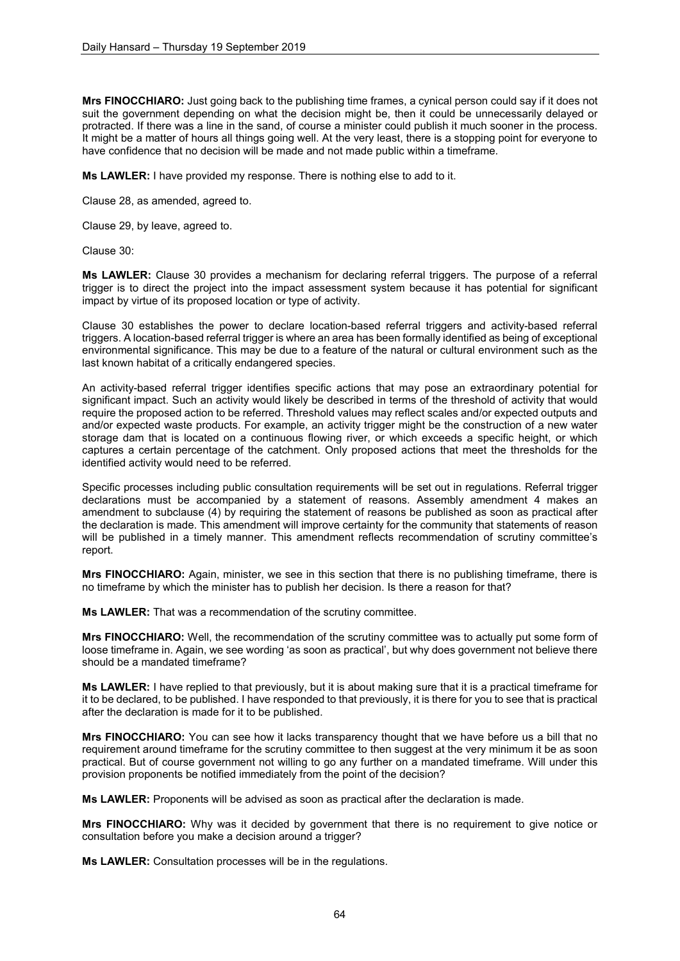**Mrs FINOCCHIARO:** Just going back to the publishing time frames, a cynical person could say if it does not suit the government depending on what the decision might be, then it could be unnecessarily delayed or protracted. If there was a line in the sand, of course a minister could publish it much sooner in the process. It might be a matter of hours all things going well. At the very least, there is a stopping point for everyone to have confidence that no decision will be made and not made public within a timeframe.

**Ms LAWLER:** I have provided my response. There is nothing else to add to it.

Clause 28, as amended, agreed to.

Clause 29, by leave, agreed to.

Clause 30:

**Ms LAWLER:** Clause 30 provides a mechanism for declaring referral triggers. The purpose of a referral trigger is to direct the project into the impact assessment system because it has potential for significant impact by virtue of its proposed location or type of activity.

Clause 30 establishes the power to declare location-based referral triggers and activity-based referral triggers. A location-based referral trigger is where an area has been formally identified as being of exceptional environmental significance. This may be due to a feature of the natural or cultural environment such as the last known habitat of a critically endangered species.

An activity-based referral trigger identifies specific actions that may pose an extraordinary potential for significant impact. Such an activity would likely be described in terms of the threshold of activity that would require the proposed action to be referred. Threshold values may reflect scales and/or expected outputs and and/or expected waste products. For example, an activity trigger might be the construction of a new water storage dam that is located on a continuous flowing river, or which exceeds a specific height, or which captures a certain percentage of the catchment. Only proposed actions that meet the thresholds for the identified activity would need to be referred.

Specific processes including public consultation requirements will be set out in regulations. Referral trigger declarations must be accompanied by a statement of reasons. Assembly amendment 4 makes an amendment to subclause (4) by requiring the statement of reasons be published as soon as practical after the declaration is made. This amendment will improve certainty for the community that statements of reason will be published in a timely manner. This amendment reflects recommendation of scrutiny committee's report.

**Mrs FINOCCHIARO:** Again, minister, we see in this section that there is no publishing timeframe, there is no timeframe by which the minister has to publish her decision. Is there a reason for that?

**Ms LAWLER:** That was a recommendation of the scrutiny committee.

**Mrs FINOCCHIARO:** Well, the recommendation of the scrutiny committee was to actually put some form of loose timeframe in. Again, we see wording 'as soon as practical', but why does government not believe there should be a mandated timeframe?

**Ms LAWLER:** I have replied to that previously, but it is about making sure that it is a practical timeframe for it to be declared, to be published. I have responded to that previously, it is there for you to see that is practical after the declaration is made for it to be published.

**Mrs FINOCCHIARO:** You can see how it lacks transparency thought that we have before us a bill that no requirement around timeframe for the scrutiny committee to then suggest at the very minimum it be as soon practical. But of course government not willing to go any further on a mandated timeframe. Will under this provision proponents be notified immediately from the point of the decision?

**Ms LAWLER:** Proponents will be advised as soon as practical after the declaration is made.

**Mrs FINOCCHIARO:** Why was it decided by government that there is no requirement to give notice or consultation before you make a decision around a trigger?

**Ms LAWLER:** Consultation processes will be in the regulations.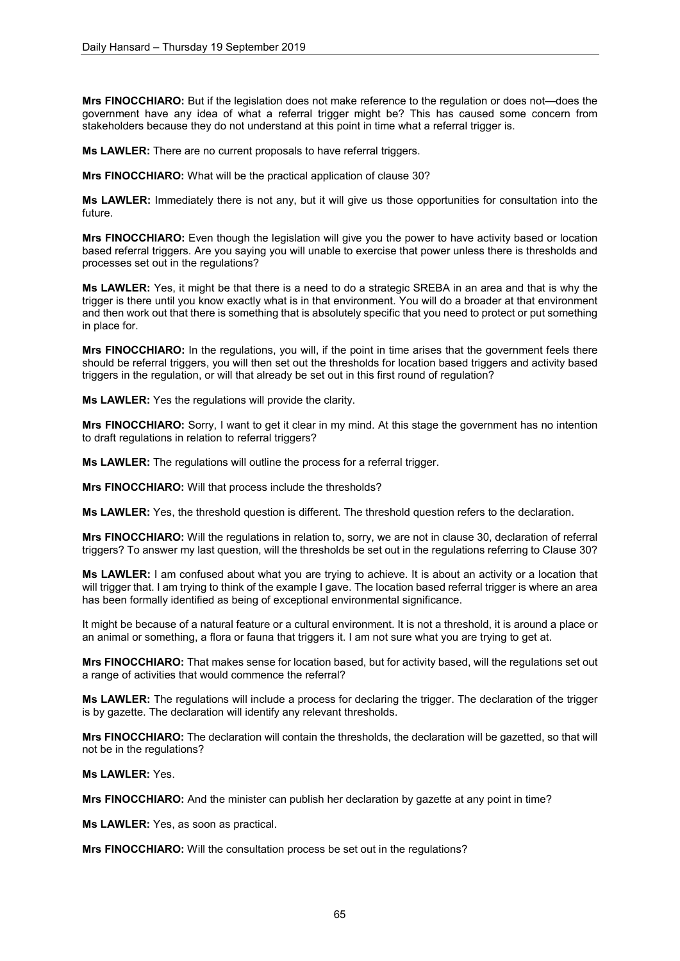**Mrs FINOCCHIARO:** But if the legislation does not make reference to the regulation or does not—does the government have any idea of what a referral trigger might be? This has caused some concern from stakeholders because they do not understand at this point in time what a referral trigger is.

**Ms LAWLER:** There are no current proposals to have referral triggers.

**Mrs FINOCCHIARO:** What will be the practical application of clause 30?

**Ms LAWLER:** Immediately there is not any, but it will give us those opportunities for consultation into the future.

**Mrs FINOCCHIARO:** Even though the legislation will give you the power to have activity based or location based referral triggers. Are you saying you will unable to exercise that power unless there is thresholds and processes set out in the regulations?

**Ms LAWLER:** Yes, it might be that there is a need to do a strategic SREBA in an area and that is why the trigger is there until you know exactly what is in that environment. You will do a broader at that environment and then work out that there is something that is absolutely specific that you need to protect or put something in place for.

**Mrs FINOCCHIARO:** In the regulations, you will, if the point in time arises that the government feels there should be referral triggers, you will then set out the thresholds for location based triggers and activity based triggers in the regulation, or will that already be set out in this first round of regulation?

**Ms LAWLER:** Yes the regulations will provide the clarity.

**Mrs FINOCCHIARO:** Sorry, I want to get it clear in my mind. At this stage the government has no intention to draft regulations in relation to referral triggers?

**Ms LAWLER:** The regulations will outline the process for a referral trigger.

**Mrs FINOCCHIARO:** Will that process include the thresholds?

**Ms LAWLER:** Yes, the threshold question is different. The threshold question refers to the declaration.

**Mrs FINOCCHIARO:** Will the regulations in relation to, sorry, we are not in clause 30, declaration of referral triggers? To answer my last question, will the thresholds be set out in the regulations referring to Clause 30?

**Ms LAWLER:** I am confused about what you are trying to achieve. It is about an activity or a location that will trigger that. I am trying to think of the example I gave. The location based referral trigger is where an area has been formally identified as being of exceptional environmental significance.

It might be because of a natural feature or a cultural environment. It is not a threshold, it is around a place or an animal or something, a flora or fauna that triggers it. I am not sure what you are trying to get at.

**Mrs FINOCCHIARO:** That makes sense for location based, but for activity based, will the regulations set out a range of activities that would commence the referral?

**Ms LAWLER:** The regulations will include a process for declaring the trigger. The declaration of the trigger is by gazette. The declaration will identify any relevant thresholds.

**Mrs FINOCCHIARO:** The declaration will contain the thresholds, the declaration will be gazetted, so that will not be in the regulations?

**Ms LAWLER:** Yes.

**Mrs FINOCCHIARO:** And the minister can publish her declaration by gazette at any point in time?

**Ms LAWLER:** Yes, as soon as practical.

**Mrs FINOCCHIARO:** Will the consultation process be set out in the regulations?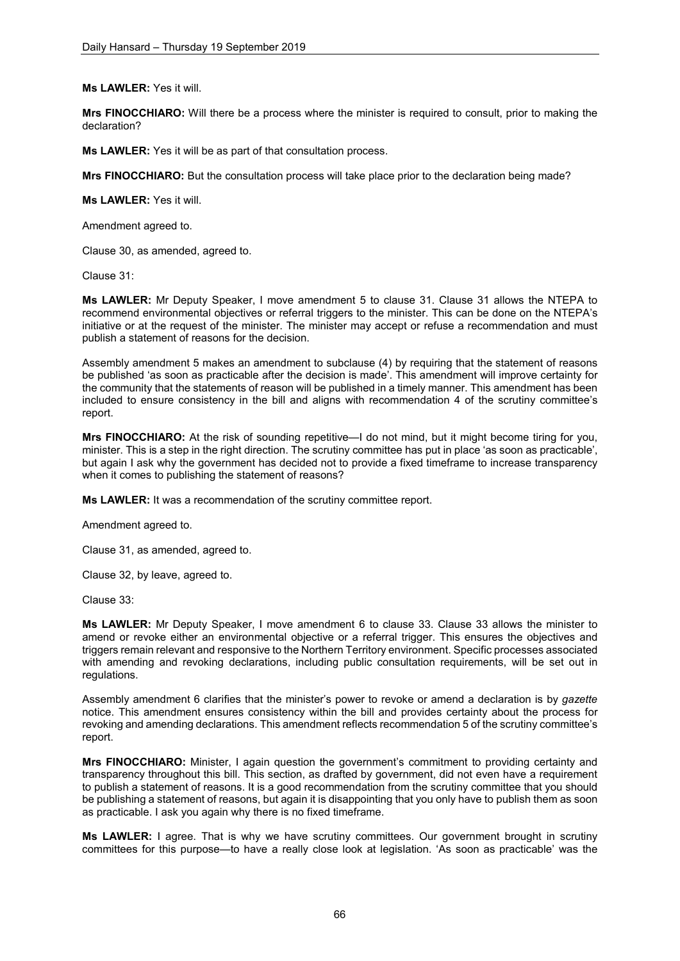**Ms LAWLER:** Yes it will.

**Mrs FINOCCHIARO:** Will there be a process where the minister is required to consult, prior to making the declaration?

**Ms LAWLER:** Yes it will be as part of that consultation process.

**Mrs FINOCCHIARO:** But the consultation process will take place prior to the declaration being made?

**Ms LAWLER:** Yes it will.

Amendment agreed to.

Clause 30, as amended, agreed to.

Clause 31:

**Ms LAWLER:** Mr Deputy Speaker, I move amendment 5 to clause 31. Clause 31 allows the NTEPA to recommend environmental objectives or referral triggers to the minister. This can be done on the NTEPA's initiative or at the request of the minister. The minister may accept or refuse a recommendation and must publish a statement of reasons for the decision.

Assembly amendment 5 makes an amendment to subclause (4) by requiring that the statement of reasons be published 'as soon as practicable after the decision is made'. This amendment will improve certainty for the community that the statements of reason will be published in a timely manner. This amendment has been included to ensure consistency in the bill and aligns with recommendation 4 of the scrutiny committee's report.

**Mrs FINOCCHIARO:** At the risk of sounding repetitive—I do not mind, but it might become tiring for you, minister. This is a step in the right direction. The scrutiny committee has put in place 'as soon as practicable', but again I ask why the government has decided not to provide a fixed timeframe to increase transparency when it comes to publishing the statement of reasons?

**Ms LAWLER:** It was a recommendation of the scrutiny committee report.

Amendment agreed to.

Clause 31, as amended, agreed to.

Clause 32, by leave, agreed to.

Clause 33:

**Ms LAWLER:** Mr Deputy Speaker, I move amendment 6 to clause 33. Clause 33 allows the minister to amend or revoke either an environmental objective or a referral trigger. This ensures the objectives and triggers remain relevant and responsive to the Northern Territory environment. Specific processes associated with amending and revoking declarations, including public consultation requirements, will be set out in regulations.

Assembly amendment 6 clarifies that the minister's power to revoke or amend a declaration is by *gazette* notice. This amendment ensures consistency within the bill and provides certainty about the process for revoking and amending declarations. This amendment reflects recommendation 5 of the scrutiny committee's report.

**Mrs FINOCCHIARO:** Minister, I again question the government's commitment to providing certainty and transparency throughout this bill. This section, as drafted by government, did not even have a requirement to publish a statement of reasons. It is a good recommendation from the scrutiny committee that you should be publishing a statement of reasons, but again it is disappointing that you only have to publish them as soon as practicable. I ask you again why there is no fixed timeframe.

**Ms LAWLER:** I agree. That is why we have scrutiny committees. Our government brought in scrutiny committees for this purpose—to have a really close look at legislation. 'As soon as practicable' was the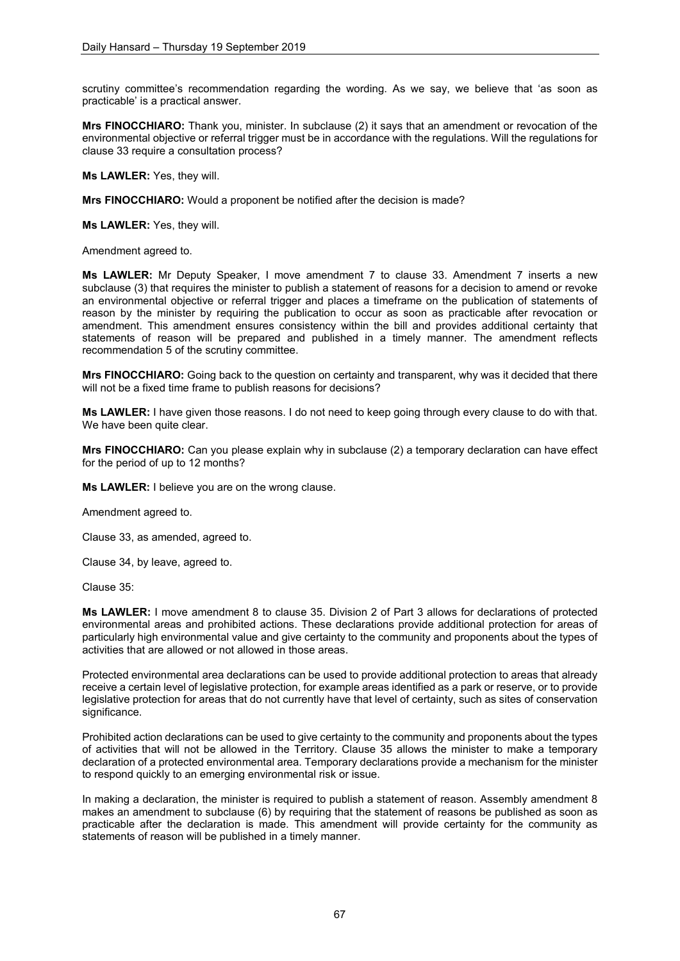scrutiny committee's recommendation regarding the wording. As we say, we believe that 'as soon as practicable' is a practical answer.

**Mrs FINOCCHIARO:** Thank you, minister. In subclause (2) it says that an amendment or revocation of the environmental objective or referral trigger must be in accordance with the regulations. Will the regulations for clause 33 require a consultation process?

**Ms LAWLER:** Yes, they will.

**Mrs FINOCCHIARO:** Would a proponent be notified after the decision is made?

**Ms LAWLER:** Yes, they will.

Amendment agreed to.

**Ms LAWLER:** Mr Deputy Speaker, I move amendment 7 to clause 33. Amendment 7 inserts a new subclause (3) that requires the minister to publish a statement of reasons for a decision to amend or revoke an environmental objective or referral trigger and places a timeframe on the publication of statements of reason by the minister by requiring the publication to occur as soon as practicable after revocation or amendment. This amendment ensures consistency within the bill and provides additional certainty that statements of reason will be prepared and published in a timely manner. The amendment reflects recommendation 5 of the scrutiny committee.

**Mrs FINOCCHIARO:** Going back to the question on certainty and transparent, why was it decided that there will not be a fixed time frame to publish reasons for decisions?

**Ms LAWLER:** I have given those reasons. I do not need to keep going through every clause to do with that. We have been quite clear.

**Mrs FINOCCHIARO:** Can you please explain why in subclause (2) a temporary declaration can have effect for the period of up to 12 months?

**Ms LAWLER:** I believe you are on the wrong clause.

Amendment agreed to.

Clause 33, as amended, agreed to.

Clause 34, by leave, agreed to.

Clause 35:

**Ms LAWLER:** I move amendment 8 to clause 35. Division 2 of Part 3 allows for declarations of protected environmental areas and prohibited actions. These declarations provide additional protection for areas of particularly high environmental value and give certainty to the community and proponents about the types of activities that are allowed or not allowed in those areas.

Protected environmental area declarations can be used to provide additional protection to areas that already receive a certain level of legislative protection, for example areas identified as a park or reserve, or to provide legislative protection for areas that do not currently have that level of certainty, such as sites of conservation significance.

Prohibited action declarations can be used to give certainty to the community and proponents about the types of activities that will not be allowed in the Territory. Clause 35 allows the minister to make a temporary declaration of a protected environmental area. Temporary declarations provide a mechanism for the minister to respond quickly to an emerging environmental risk or issue.

In making a declaration, the minister is required to publish a statement of reason. Assembly amendment 8 makes an amendment to subclause (6) by requiring that the statement of reasons be published as soon as practicable after the declaration is made. This amendment will provide certainty for the community as statements of reason will be published in a timely manner.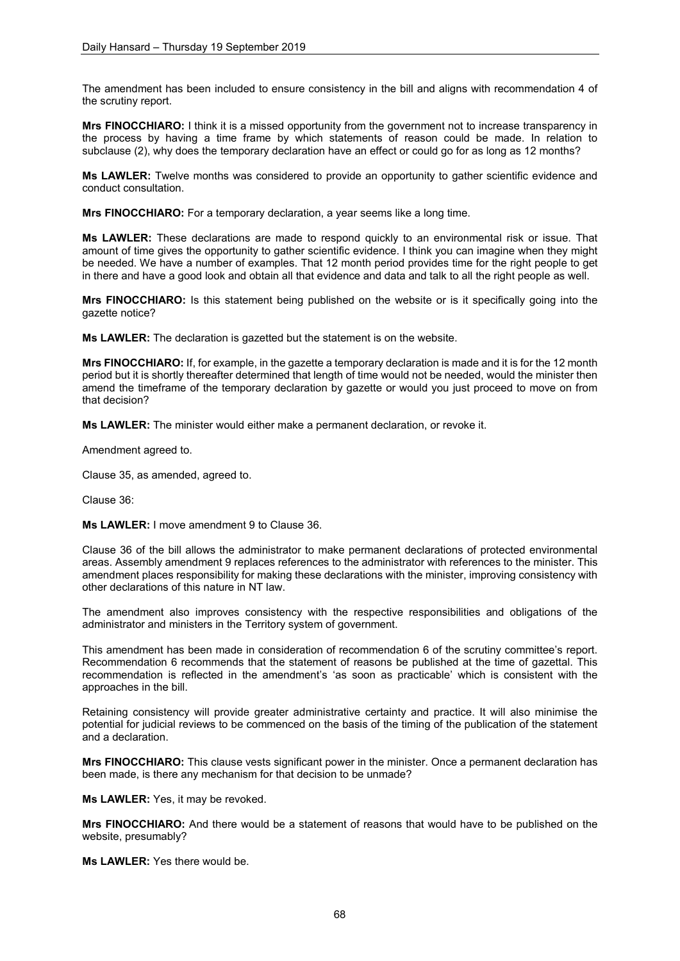The amendment has been included to ensure consistency in the bill and aligns with recommendation 4 of the scrutiny report.

**Mrs FINOCCHIARO:** I think it is a missed opportunity from the government not to increase transparency in the process by having a time frame by which statements of reason could be made. In relation to subclause (2), why does the temporary declaration have an effect or could go for as long as 12 months?

**Ms LAWLER:** Twelve months was considered to provide an opportunity to gather scientific evidence and conduct consultation.

**Mrs FINOCCHIARO:** For a temporary declaration, a year seems like a long time.

**Ms LAWLER:** These declarations are made to respond quickly to an environmental risk or issue. That amount of time gives the opportunity to gather scientific evidence. I think you can imagine when they might be needed. We have a number of examples. That 12 month period provides time for the right people to get in there and have a good look and obtain all that evidence and data and talk to all the right people as well.

**Mrs FINOCCHIARO:** Is this statement being published on the website or is it specifically going into the gazette notice?

**Ms LAWLER:** The declaration is gazetted but the statement is on the website.

**Mrs FINOCCHIARO:** If, for example, in the gazette a temporary declaration is made and it is for the 12 month period but it is shortly thereafter determined that length of time would not be needed, would the minister then amend the timeframe of the temporary declaration by gazette or would you just proceed to move on from that decision?

**Ms LAWLER:** The minister would either make a permanent declaration, or revoke it.

Amendment agreed to.

Clause 35, as amended, agreed to.

Clause 36:

**Ms LAWLER:** I move amendment 9 to Clause 36.

Clause 36 of the bill allows the administrator to make permanent declarations of protected environmental areas. Assembly amendment 9 replaces references to the administrator with references to the minister. This amendment places responsibility for making these declarations with the minister, improving consistency with other declarations of this nature in NT law.

The amendment also improves consistency with the respective responsibilities and obligations of the administrator and ministers in the Territory system of government.

This amendment has been made in consideration of recommendation 6 of the scrutiny committee's report. Recommendation 6 recommends that the statement of reasons be published at the time of gazettal. This recommendation is reflected in the amendment's 'as soon as practicable' which is consistent with the approaches in the bill.

Retaining consistency will provide greater administrative certainty and practice. It will also minimise the potential for judicial reviews to be commenced on the basis of the timing of the publication of the statement and a declaration.

**Mrs FINOCCHIARO:** This clause vests significant power in the minister. Once a permanent declaration has been made, is there any mechanism for that decision to be unmade?

**Ms LAWLER:** Yes, it may be revoked.

**Mrs FINOCCHIARO:** And there would be a statement of reasons that would have to be published on the website, presumably?

**Ms LAWLER:** Yes there would be.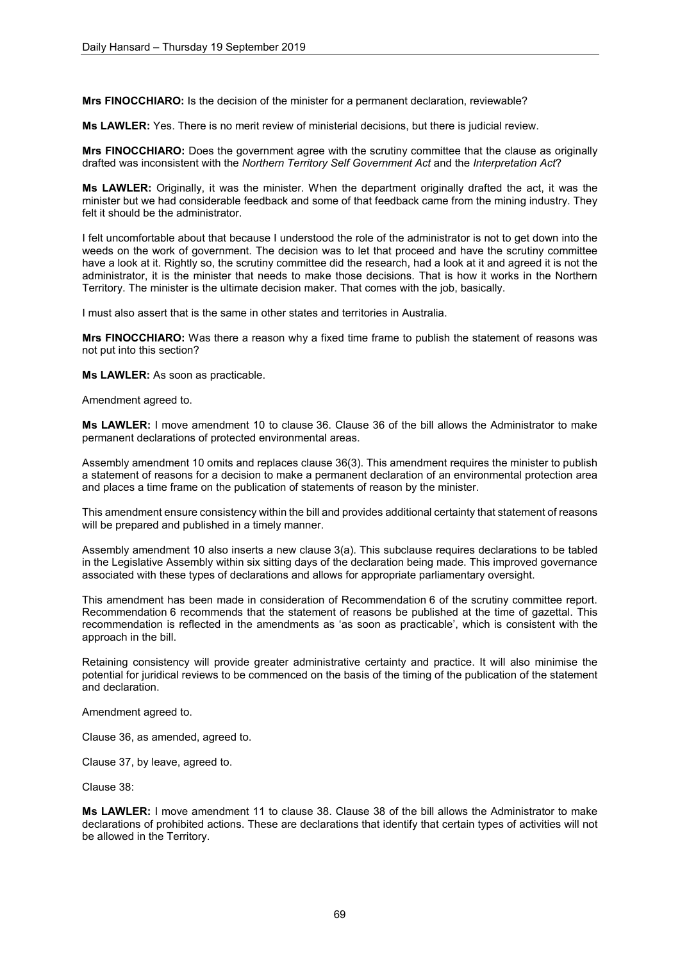**Mrs FINOCCHIARO:** Is the decision of the minister for a permanent declaration, reviewable?

**Ms LAWLER:** Yes. There is no merit review of ministerial decisions, but there is judicial review.

**Mrs FINOCCHIARO:** Does the government agree with the scrutiny committee that the clause as originally drafted was inconsistent with the *Northern Territory Self Government Act* and the *Interpretation Act*?

**Ms LAWLER:** Originally, it was the minister. When the department originally drafted the act, it was the minister but we had considerable feedback and some of that feedback came from the mining industry. They felt it should be the administrator.

I felt uncomfortable about that because I understood the role of the administrator is not to get down into the weeds on the work of government. The decision was to let that proceed and have the scrutiny committee have a look at it. Rightly so, the scrutiny committee did the research, had a look at it and agreed it is not the administrator, it is the minister that needs to make those decisions. That is how it works in the Northern Territory. The minister is the ultimate decision maker. That comes with the job, basically.

I must also assert that is the same in other states and territories in Australia.

**Mrs FINOCCHIARO:** Was there a reason why a fixed time frame to publish the statement of reasons was not put into this section?

**Ms LAWLER:** As soon as practicable.

Amendment agreed to.

**Ms LAWLER:** I move amendment 10 to clause 36. Clause 36 of the bill allows the Administrator to make permanent declarations of protected environmental areas.

Assembly amendment 10 omits and replaces clause 36(3). This amendment requires the minister to publish a statement of reasons for a decision to make a permanent declaration of an environmental protection area and places a time frame on the publication of statements of reason by the minister.

This amendment ensure consistency within the bill and provides additional certainty that statement of reasons will be prepared and published in a timely manner.

Assembly amendment 10 also inserts a new clause 3(a). This subclause requires declarations to be tabled in the Legislative Assembly within six sitting days of the declaration being made. This improved governance associated with these types of declarations and allows for appropriate parliamentary oversight.

This amendment has been made in consideration of Recommendation 6 of the scrutiny committee report. Recommendation 6 recommends that the statement of reasons be published at the time of gazettal. This recommendation is reflected in the amendments as 'as soon as practicable', which is consistent with the approach in the bill.

Retaining consistency will provide greater administrative certainty and practice. It will also minimise the potential for juridical reviews to be commenced on the basis of the timing of the publication of the statement and declaration.

Amendment agreed to.

Clause 36, as amended, agreed to.

Clause 37, by leave, agreed to.

Clause 38:

**Ms LAWLER:** I move amendment 11 to clause 38. Clause 38 of the bill allows the Administrator to make declarations of prohibited actions. These are declarations that identify that certain types of activities will not be allowed in the Territory.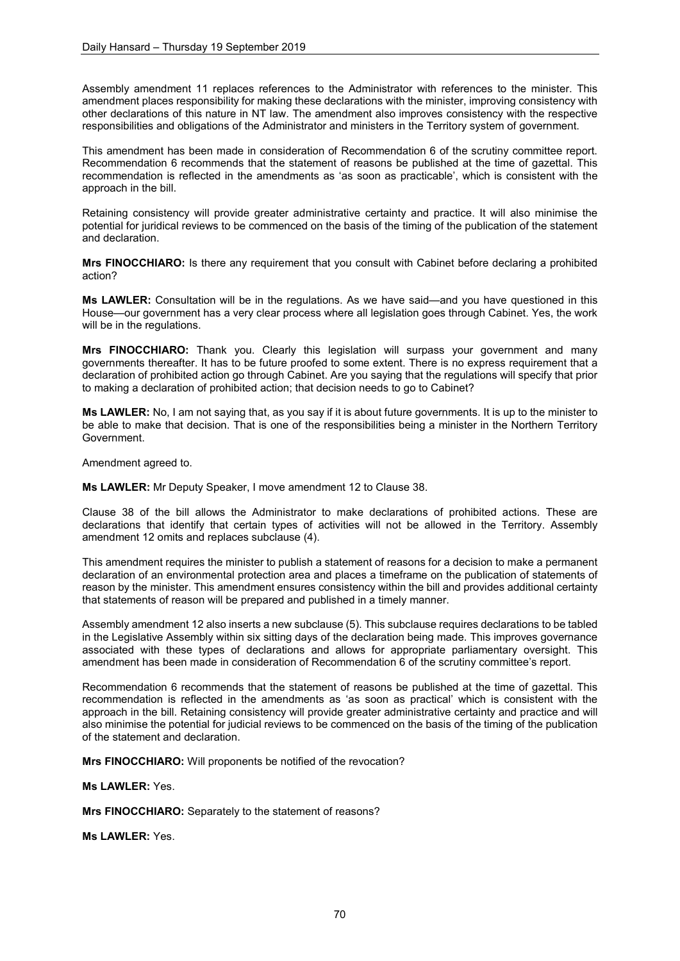Assembly amendment 11 replaces references to the Administrator with references to the minister. This amendment places responsibility for making these declarations with the minister, improving consistency with other declarations of this nature in NT law. The amendment also improves consistency with the respective responsibilities and obligations of the Administrator and ministers in the Territory system of government.

This amendment has been made in consideration of Recommendation 6 of the scrutiny committee report. Recommendation 6 recommends that the statement of reasons be published at the time of gazettal. This recommendation is reflected in the amendments as 'as soon as practicable', which is consistent with the approach in the bill.

Retaining consistency will provide greater administrative certainty and practice. It will also minimise the potential for juridical reviews to be commenced on the basis of the timing of the publication of the statement and declaration.

**Mrs FINOCCHIARO:** Is there any requirement that you consult with Cabinet before declaring a prohibited action?

**Ms LAWLER:** Consultation will be in the regulations. As we have said—and you have questioned in this House—our government has a very clear process where all legislation goes through Cabinet. Yes, the work will be in the regulations.

**Mrs FINOCCHIARO:** Thank you. Clearly this legislation will surpass your government and many governments thereafter. It has to be future proofed to some extent. There is no express requirement that a declaration of prohibited action go through Cabinet. Are you saying that the regulations will specify that prior to making a declaration of prohibited action; that decision needs to go to Cabinet?

**Ms LAWLER:** No, I am not saying that, as you say if it is about future governments. It is up to the minister to be able to make that decision. That is one of the responsibilities being a minister in the Northern Territory Government.

Amendment agreed to.

**Ms LAWLER:** Mr Deputy Speaker, I move amendment 12 to Clause 38.

Clause 38 of the bill allows the Administrator to make declarations of prohibited actions. These are declarations that identify that certain types of activities will not be allowed in the Territory. Assembly amendment 12 omits and replaces subclause (4).

This amendment requires the minister to publish a statement of reasons for a decision to make a permanent declaration of an environmental protection area and places a timeframe on the publication of statements of reason by the minister. This amendment ensures consistency within the bill and provides additional certainty that statements of reason will be prepared and published in a timely manner.

Assembly amendment 12 also inserts a new subclause (5). This subclause requires declarations to be tabled in the Legislative Assembly within six sitting days of the declaration being made. This improves governance associated with these types of declarations and allows for appropriate parliamentary oversight. This amendment has been made in consideration of Recommendation 6 of the scrutiny committee's report.

Recommendation 6 recommends that the statement of reasons be published at the time of gazettal. This recommendation is reflected in the amendments as 'as soon as practical' which is consistent with the approach in the bill. Retaining consistency will provide greater administrative certainty and practice and will also minimise the potential for judicial reviews to be commenced on the basis of the timing of the publication of the statement and declaration.

**Mrs FINOCCHIARO:** Will proponents be notified of the revocation?

**Ms LAWLER:** Yes.

**Mrs FINOCCHIARO:** Separately to the statement of reasons?

**Ms LAWLER:** Yes.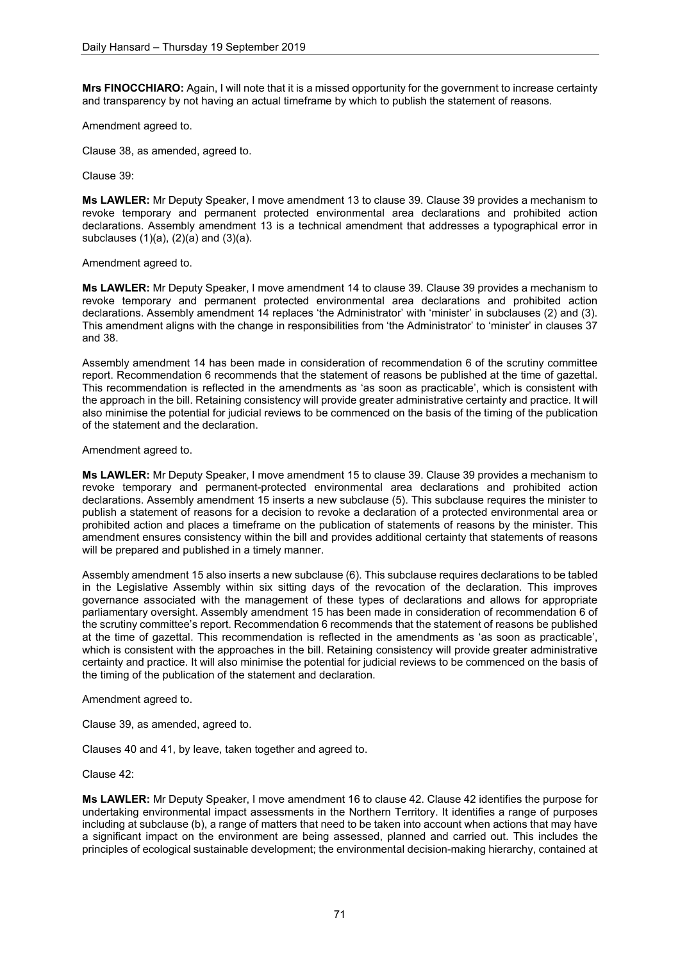**Mrs FINOCCHIARO:** Again, I will note that it is a missed opportunity for the government to increase certainty and transparency by not having an actual timeframe by which to publish the statement of reasons.

## Amendment agreed to.

Clause 38, as amended, agreed to.

Clause 39:

**Ms LAWLER:** Mr Deputy Speaker, I move amendment 13 to clause 39. Clause 39 provides a mechanism to revoke temporary and permanent protected environmental area declarations and prohibited action declarations. Assembly amendment 13 is a technical amendment that addresses a typographical error in subclauses  $(1)(a)$ ,  $(2)(a)$  and  $(3)(a)$ .

Amendment agreed to.

**Ms LAWLER:** Mr Deputy Speaker, I move amendment 14 to clause 39. Clause 39 provides a mechanism to revoke temporary and permanent protected environmental area declarations and prohibited action declarations. Assembly amendment 14 replaces 'the Administrator' with 'minister' in subclauses (2) and (3). This amendment aligns with the change in responsibilities from 'the Administrator' to 'minister' in clauses 37 and 38.

Assembly amendment 14 has been made in consideration of recommendation 6 of the scrutiny committee report. Recommendation 6 recommends that the statement of reasons be published at the time of gazettal. This recommendation is reflected in the amendments as 'as soon as practicable', which is consistent with the approach in the bill. Retaining consistency will provide greater administrative certainty and practice. It will also minimise the potential for judicial reviews to be commenced on the basis of the timing of the publication of the statement and the declaration.

Amendment agreed to.

**Ms LAWLER:** Mr Deputy Speaker, I move amendment 15 to clause 39. Clause 39 provides a mechanism to revoke temporary and permanent-protected environmental area declarations and prohibited action declarations. Assembly amendment 15 inserts a new subclause (5). This subclause requires the minister to publish a statement of reasons for a decision to revoke a declaration of a protected environmental area or prohibited action and places a timeframe on the publication of statements of reasons by the minister. This amendment ensures consistency within the bill and provides additional certainty that statements of reasons will be prepared and published in a timely manner.

Assembly amendment 15 also inserts a new subclause (6). This subclause requires declarations to be tabled in the Legislative Assembly within six sitting days of the revocation of the declaration. This improves governance associated with the management of these types of declarations and allows for appropriate parliamentary oversight. Assembly amendment 15 has been made in consideration of recommendation 6 of the scrutiny committee's report. Recommendation 6 recommends that the statement of reasons be published at the time of gazettal. This recommendation is reflected in the amendments as 'as soon as practicable', which is consistent with the approaches in the bill. Retaining consistency will provide greater administrative certainty and practice. It will also minimise the potential for judicial reviews to be commenced on the basis of the timing of the publication of the statement and declaration.

Amendment agreed to.

Clause 39, as amended, agreed to.

Clauses 40 and 41, by leave, taken together and agreed to.

Clause 42:

**Ms LAWLER:** Mr Deputy Speaker, I move amendment 16 to clause 42. Clause 42 identifies the purpose for undertaking environmental impact assessments in the Northern Territory. It identifies a range of purposes including at subclause (b), a range of matters that need to be taken into account when actions that may have a significant impact on the environment are being assessed, planned and carried out. This includes the principles of ecological sustainable development; the environmental decision-making hierarchy, contained at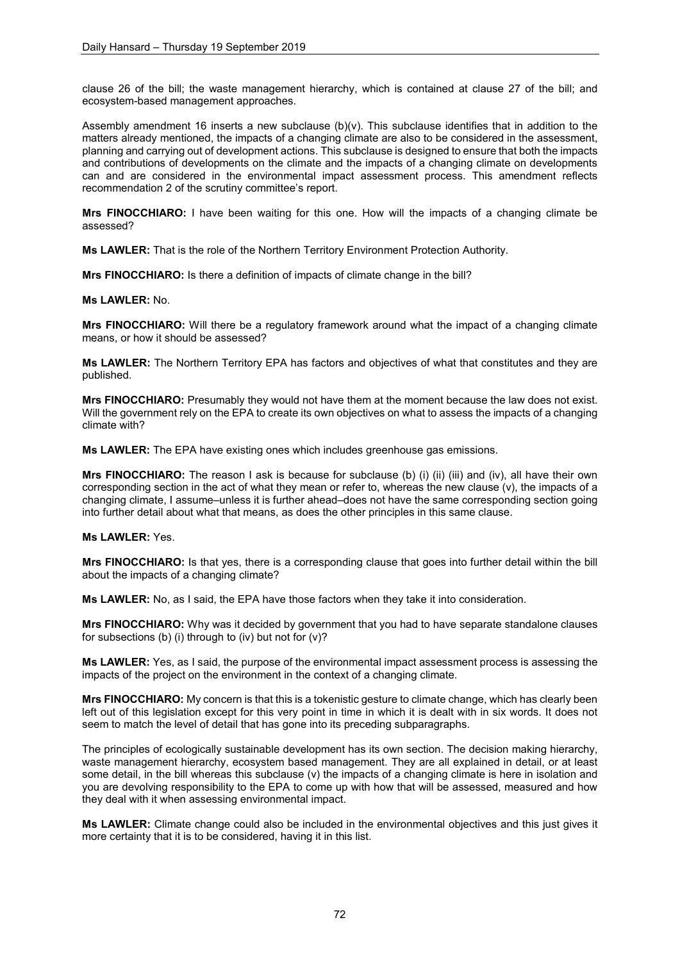clause 26 of the bill; the waste management hierarchy, which is contained at clause 27 of the bill; and ecosystem-based management approaches.

Assembly amendment 16 inserts a new subclause (b)(v). This subclause identifies that in addition to the matters already mentioned, the impacts of a changing climate are also to be considered in the assessment, planning and carrying out of development actions. This subclause is designed to ensure that both the impacts and contributions of developments on the climate and the impacts of a changing climate on developments can and are considered in the environmental impact assessment process. This amendment reflects recommendation 2 of the scrutiny committee's report.

**Mrs FINOCCHIARO:** I have been waiting for this one. How will the impacts of a changing climate be assessed?

**Ms LAWLER:** That is the role of the Northern Territory Environment Protection Authority.

**Mrs FINOCCHIARO:** Is there a definition of impacts of climate change in the bill?

## **Ms LAWLER:** No.

**Mrs FINOCCHIARO:** Will there be a regulatory framework around what the impact of a changing climate means, or how it should be assessed?

**Ms LAWLER:** The Northern Territory EPA has factors and objectives of what that constitutes and they are published.

**Mrs FINOCCHIARO:** Presumably they would not have them at the moment because the law does not exist. Will the government rely on the EPA to create its own objectives on what to assess the impacts of a changing climate with?

**Ms LAWLER:** The EPA have existing ones which includes greenhouse gas emissions.

**Mrs FINOCCHIARO:** The reason I ask is because for subclause (b) (i) (ii) (iii) and (iv), all have their own corresponding section in the act of what they mean or refer to, whereas the new clause (v), the impacts of a changing climate, I assume–unless it is further ahead–does not have the same corresponding section going into further detail about what that means, as does the other principles in this same clause.

### **Ms LAWLER:** Yes.

**Mrs FINOCCHIARO:** Is that yes, there is a corresponding clause that goes into further detail within the bill about the impacts of a changing climate?

**Ms LAWLER:** No, as I said, the EPA have those factors when they take it into consideration.

**Mrs FINOCCHIARO:** Why was it decided by government that you had to have separate standalone clauses for subsections (b) (i) through to (iv) but not for  $(v)$ ?

**Ms LAWLER:** Yes, as I said, the purpose of the environmental impact assessment process is assessing the impacts of the project on the environment in the context of a changing climate.

**Mrs FINOCCHIARO:** My concern is that this is a tokenistic gesture to climate change, which has clearly been left out of this legislation except for this very point in time in which it is dealt with in six words. It does not seem to match the level of detail that has gone into its preceding subparagraphs.

The principles of ecologically sustainable development has its own section. The decision making hierarchy, waste management hierarchy, ecosystem based management. They are all explained in detail, or at least some detail, in the bill whereas this subclause (v) the impacts of a changing climate is here in isolation and you are devolving responsibility to the EPA to come up with how that will be assessed, measured and how they deal with it when assessing environmental impact.

**Ms LAWLER:** Climate change could also be included in the environmental objectives and this just gives it more certainty that it is to be considered, having it in this list.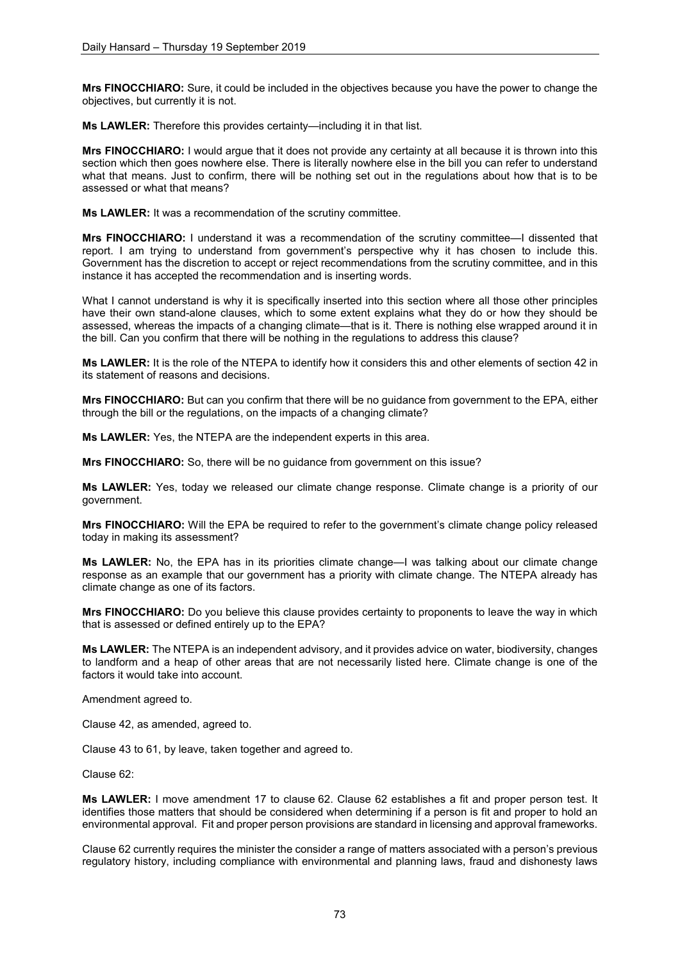**Mrs FINOCCHIARO:** Sure, it could be included in the objectives because you have the power to change the objectives, but currently it is not.

**Ms LAWLER:** Therefore this provides certainty—including it in that list.

**Mrs FINOCCHIARO:** I would argue that it does not provide any certainty at all because it is thrown into this section which then goes nowhere else. There is literally nowhere else in the bill you can refer to understand what that means. Just to confirm, there will be nothing set out in the regulations about how that is to be assessed or what that means?

**Ms LAWLER:** It was a recommendation of the scrutiny committee.

**Mrs FINOCCHIARO:** I understand it was a recommendation of the scrutiny committee—I dissented that report. I am trying to understand from government's perspective why it has chosen to include this. Government has the discretion to accept or reject recommendations from the scrutiny committee, and in this instance it has accepted the recommendation and is inserting words.

What I cannot understand is why it is specifically inserted into this section where all those other principles have their own stand-alone clauses, which to some extent explains what they do or how they should be assessed, whereas the impacts of a changing climate—that is it. There is nothing else wrapped around it in the bill. Can you confirm that there will be nothing in the regulations to address this clause?

**Ms LAWLER:** It is the role of the NTEPA to identify how it considers this and other elements of section 42 in its statement of reasons and decisions.

**Mrs FINOCCHIARO:** But can you confirm that there will be no guidance from government to the EPA, either through the bill or the regulations, on the impacts of a changing climate?

**Ms LAWLER:** Yes, the NTEPA are the independent experts in this area.

**Mrs FINOCCHIARO:** So, there will be no guidance from government on this issue?

**Ms LAWLER:** Yes, today we released our climate change response. Climate change is a priority of our government.

**Mrs FINOCCHIARO:** Will the EPA be required to refer to the government's climate change policy released today in making its assessment?

**Ms LAWLER:** No, the EPA has in its priorities climate change—I was talking about our climate change response as an example that our government has a priority with climate change. The NTEPA already has climate change as one of its factors.

**Mrs FINOCCHIARO:** Do you believe this clause provides certainty to proponents to leave the way in which that is assessed or defined entirely up to the EPA?

**Ms LAWLER:** The NTEPA is an independent advisory, and it provides advice on water, biodiversity, changes to landform and a heap of other areas that are not necessarily listed here. Climate change is one of the factors it would take into account.

Amendment agreed to.

Clause 42, as amended, agreed to.

Clause 43 to 61, by leave, taken together and agreed to.

Clause 62:

**Ms LAWLER:** I move amendment 17 to clause 62. Clause 62 establishes a fit and proper person test. It identifies those matters that should be considered when determining if a person is fit and proper to hold an environmental approval. Fit and proper person provisions are standard in licensing and approval frameworks.

Clause 62 currently requires the minister the consider a range of matters associated with a person's previous regulatory history, including compliance with environmental and planning laws, fraud and dishonesty laws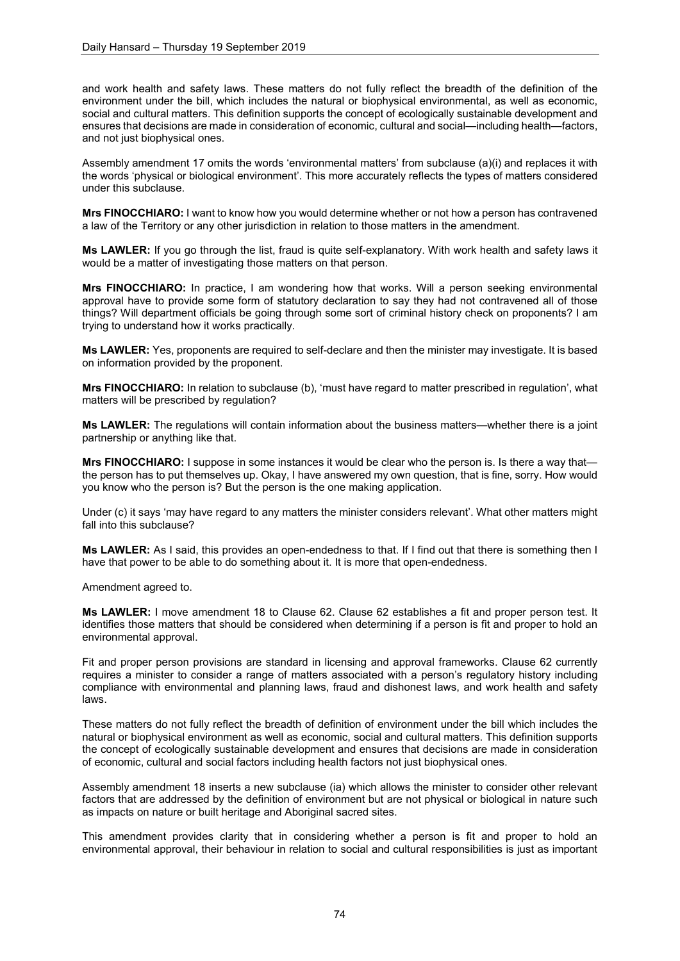and work health and safety laws. These matters do not fully reflect the breadth of the definition of the environment under the bill, which includes the natural or biophysical environmental, as well as economic, social and cultural matters. This definition supports the concept of ecologically sustainable development and ensures that decisions are made in consideration of economic, cultural and social—including health—factors, and not just biophysical ones.

Assembly amendment 17 omits the words 'environmental matters' from subclause (a)(i) and replaces it with the words 'physical or biological environment'. This more accurately reflects the types of matters considered under this subclause.

**Mrs FINOCCHIARO:** I want to know how you would determine whether or not how a person has contravened a law of the Territory or any other jurisdiction in relation to those matters in the amendment.

**Ms LAWLER:** If you go through the list, fraud is quite self-explanatory. With work health and safety laws it would be a matter of investigating those matters on that person.

**Mrs FINOCCHIARO:** In practice, I am wondering how that works. Will a person seeking environmental approval have to provide some form of statutory declaration to say they had not contravened all of those things? Will department officials be going through some sort of criminal history check on proponents? I am trying to understand how it works practically.

**Ms LAWLER:** Yes, proponents are required to self-declare and then the minister may investigate. It is based on information provided by the proponent.

**Mrs FINOCCHIARO:** In relation to subclause (b), 'must have regard to matter prescribed in regulation', what matters will be prescribed by regulation?

**Ms LAWLER:** The regulations will contain information about the business matters—whether there is a joint partnership or anything like that.

**Mrs FINOCCHIARO:** I suppose in some instances it would be clear who the person is. Is there a way that the person has to put themselves up. Okay, I have answered my own question, that is fine, sorry. How would you know who the person is? But the person is the one making application.

Under (c) it says 'may have regard to any matters the minister considers relevant'. What other matters might fall into this subclause?

**Ms LAWLER:** As I said, this provides an open-endedness to that. If I find out that there is something then I have that power to be able to do something about it. It is more that open-endedness.

Amendment agreed to.

**Ms LAWLER:** I move amendment 18 to Clause 62. Clause 62 establishes a fit and proper person test. It identifies those matters that should be considered when determining if a person is fit and proper to hold an environmental approval.

Fit and proper person provisions are standard in licensing and approval frameworks. Clause 62 currently requires a minister to consider a range of matters associated with a person's regulatory history including compliance with environmental and planning laws, fraud and dishonest laws, and work health and safety laws.

These matters do not fully reflect the breadth of definition of environment under the bill which includes the natural or biophysical environment as well as economic, social and cultural matters. This definition supports the concept of ecologically sustainable development and ensures that decisions are made in consideration of economic, cultural and social factors including health factors not just biophysical ones.

Assembly amendment 18 inserts a new subclause (ia) which allows the minister to consider other relevant factors that are addressed by the definition of environment but are not physical or biological in nature such as impacts on nature or built heritage and Aboriginal sacred sites.

This amendment provides clarity that in considering whether a person is fit and proper to hold an environmental approval, their behaviour in relation to social and cultural responsibilities is just as important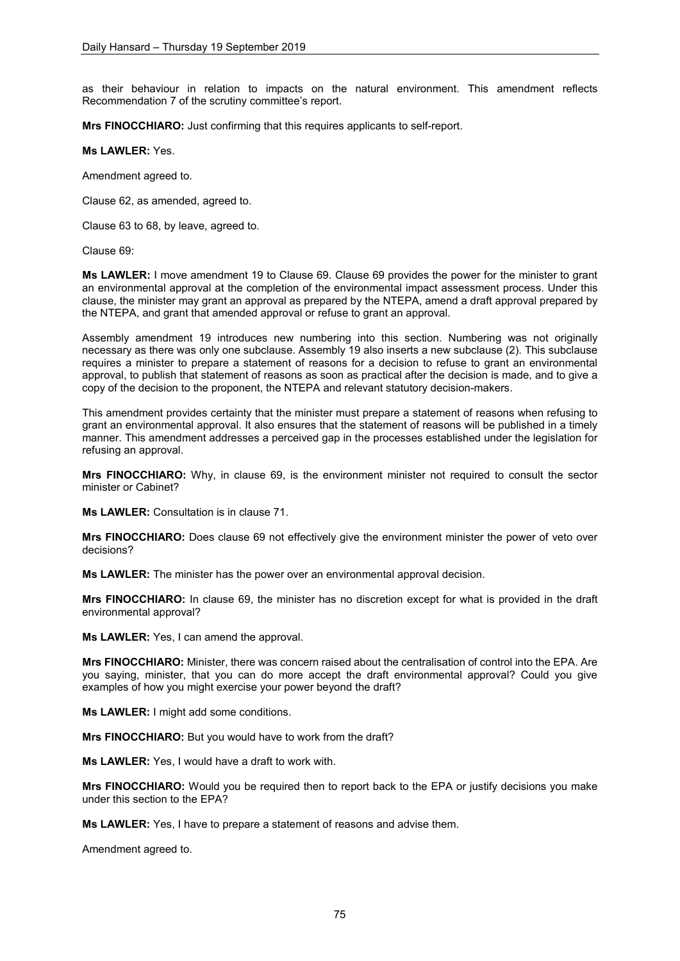as their behaviour in relation to impacts on the natural environment. This amendment reflects Recommendation 7 of the scrutiny committee's report.

**Mrs FINOCCHIARO:** Just confirming that this requires applicants to self-report.

## **Ms LAWLER:** Yes.

Amendment agreed to.

Clause 62, as amended, agreed to.

Clause 63 to 68, by leave, agreed to.

Clause 69:

**Ms LAWLER:** I move amendment 19 to Clause 69. Clause 69 provides the power for the minister to grant an environmental approval at the completion of the environmental impact assessment process. Under this clause, the minister may grant an approval as prepared by the NTEPA, amend a draft approval prepared by the NTEPA, and grant that amended approval or refuse to grant an approval.

Assembly amendment 19 introduces new numbering into this section. Numbering was not originally necessary as there was only one subclause. Assembly 19 also inserts a new subclause (2). This subclause requires a minister to prepare a statement of reasons for a decision to refuse to grant an environmental approval, to publish that statement of reasons as soon as practical after the decision is made, and to give a copy of the decision to the proponent, the NTEPA and relevant statutory decision-makers.

This amendment provides certainty that the minister must prepare a statement of reasons when refusing to grant an environmental approval. It also ensures that the statement of reasons will be published in a timely manner. This amendment addresses a perceived gap in the processes established under the legislation for refusing an approval.

**Mrs FINOCCHIARO:** Why, in clause 69, is the environment minister not required to consult the sector minister or Cabinet?

**Ms LAWLER:** Consultation is in clause 71.

**Mrs FINOCCHIARO:** Does clause 69 not effectively give the environment minister the power of veto over decisions?

**Ms LAWLER:** The minister has the power over an environmental approval decision.

**Mrs FINOCCHIARO:** In clause 69, the minister has no discretion except for what is provided in the draft environmental approval?

**Ms LAWLER:** Yes, I can amend the approval.

**Mrs FINOCCHIARO:** Minister, there was concern raised about the centralisation of control into the EPA. Are you saying, minister, that you can do more accept the draft environmental approval? Could you give examples of how you might exercise your power beyond the draft?

**Ms LAWLER:** I might add some conditions.

**Mrs FINOCCHIARO:** But you would have to work from the draft?

**Ms LAWLER:** Yes, I would have a draft to work with.

**Mrs FINOCCHIARO:** Would you be required then to report back to the EPA or justify decisions you make under this section to the EPA?

**Ms LAWLER:** Yes, I have to prepare a statement of reasons and advise them.

Amendment agreed to.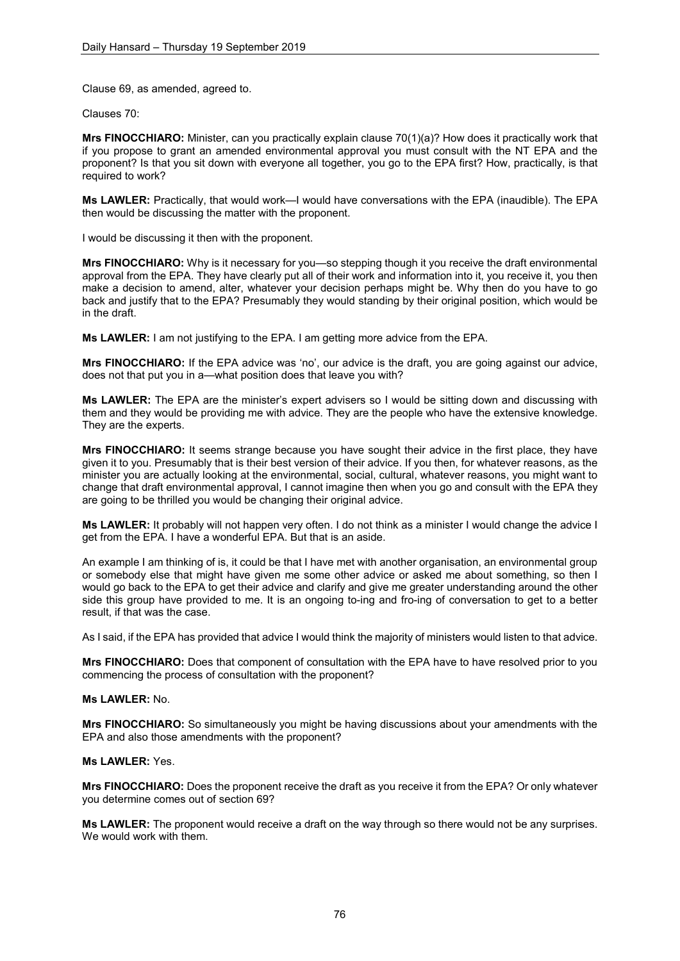Clause 69, as amended, agreed to.

Clauses 70:

**Mrs FINOCCHIARO:** Minister, can you practically explain clause 70(1)(a)? How does it practically work that if you propose to grant an amended environmental approval you must consult with the NT EPA and the proponent? Is that you sit down with everyone all together, you go to the EPA first? How, practically, is that required to work?

**Ms LAWLER:** Practically, that would work—I would have conversations with the EPA (inaudible). The EPA then would be discussing the matter with the proponent.

I would be discussing it then with the proponent.

**Mrs FINOCCHIARO:** Why is it necessary for you—so stepping though it you receive the draft environmental approval from the EPA. They have clearly put all of their work and information into it, you receive it, you then make a decision to amend, alter, whatever your decision perhaps might be. Why then do you have to go back and justify that to the EPA? Presumably they would standing by their original position, which would be in the draft.

**Ms LAWLER:** I am not justifying to the EPA. I am getting more advice from the EPA.

**Mrs FINOCCHIARO:** If the EPA advice was 'no', our advice is the draft, you are going against our advice, does not that put you in a—what position does that leave you with?

**Ms LAWLER:** The EPA are the minister's expert advisers so I would be sitting down and discussing with them and they would be providing me with advice. They are the people who have the extensive knowledge. They are the experts.

**Mrs FINOCCHIARO:** It seems strange because you have sought their advice in the first place, they have given it to you. Presumably that is their best version of their advice. If you then, for whatever reasons, as the minister you are actually looking at the environmental, social, cultural, whatever reasons, you might want to change that draft environmental approval, I cannot imagine then when you go and consult with the EPA they are going to be thrilled you would be changing their original advice.

**Ms LAWLER:** It probably will not happen very often. I do not think as a minister I would change the advice I get from the EPA. I have a wonderful EPA. But that is an aside.

An example I am thinking of is, it could be that I have met with another organisation, an environmental group or somebody else that might have given me some other advice or asked me about something, so then I would go back to the EPA to get their advice and clarify and give me greater understanding around the other side this group have provided to me. It is an ongoing to-ing and fro-ing of conversation to get to a better result, if that was the case.

As I said, if the EPA has provided that advice I would think the majority of ministers would listen to that advice.

**Mrs FINOCCHIARO:** Does that component of consultation with the EPA have to have resolved prior to you commencing the process of consultation with the proponent?

## **Ms LAWLER:** No.

**Mrs FINOCCHIARO:** So simultaneously you might be having discussions about your amendments with the EPA and also those amendments with the proponent?

### **Ms LAWLER:** Yes.

**Mrs FINOCCHIARO:** Does the proponent receive the draft as you receive it from the EPA? Or only whatever you determine comes out of section 69?

**Ms LAWLER:** The proponent would receive a draft on the way through so there would not be any surprises. We would work with them.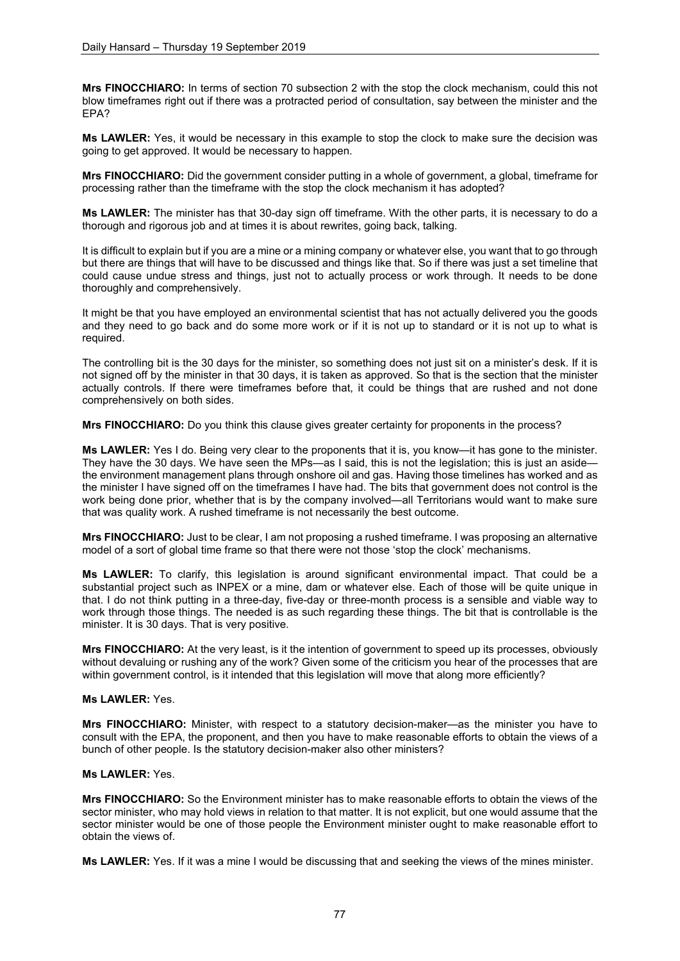**Mrs FINOCCHIARO:** In terms of section 70 subsection 2 with the stop the clock mechanism, could this not blow timeframes right out if there was a protracted period of consultation, say between the minister and the EPA?

**Ms LAWLER:** Yes, it would be necessary in this example to stop the clock to make sure the decision was going to get approved. It would be necessary to happen.

**Mrs FINOCCHIARO:** Did the government consider putting in a whole of government, a global, timeframe for processing rather than the timeframe with the stop the clock mechanism it has adopted?

**Ms LAWLER:** The minister has that 30-day sign off timeframe. With the other parts, it is necessary to do a thorough and rigorous job and at times it is about rewrites, going back, talking.

It is difficult to explain but if you are a mine or a mining company or whatever else, you want that to go through but there are things that will have to be discussed and things like that. So if there was just a set timeline that could cause undue stress and things, just not to actually process or work through. It needs to be done thoroughly and comprehensively.

It might be that you have employed an environmental scientist that has not actually delivered you the goods and they need to go back and do some more work or if it is not up to standard or it is not up to what is required.

The controlling bit is the 30 days for the minister, so something does not just sit on a minister's desk. If it is not signed off by the minister in that 30 days, it is taken as approved. So that is the section that the minister actually controls. If there were timeframes before that, it could be things that are rushed and not done comprehensively on both sides.

**Mrs FINOCCHIARO:** Do you think this clause gives greater certainty for proponents in the process?

**Ms LAWLER:** Yes I do. Being very clear to the proponents that it is, you know—it has gone to the minister. They have the 30 days. We have seen the MPs—as I said, this is not the legislation; this is just an aside the environment management plans through onshore oil and gas. Having those timelines has worked and as the minister I have signed off on the timeframes I have had. The bits that government does not control is the work being done prior, whether that is by the company involved—all Territorians would want to make sure that was quality work. A rushed timeframe is not necessarily the best outcome.

**Mrs FINOCCHIARO:** Just to be clear, I am not proposing a rushed timeframe. I was proposing an alternative model of a sort of global time frame so that there were not those 'stop the clock' mechanisms.

**Ms LAWLER:** To clarify, this legislation is around significant environmental impact. That could be a substantial project such as INPEX or a mine, dam or whatever else. Each of those will be quite unique in that. I do not think putting in a three-day, five-day or three-month process is a sensible and viable way to work through those things. The needed is as such regarding these things. The bit that is controllable is the minister. It is 30 days. That is very positive.

**Mrs FINOCCHIARO:** At the very least, is it the intention of government to speed up its processes, obviously without devaluing or rushing any of the work? Given some of the criticism you hear of the processes that are within government control, is it intended that this legislation will move that along more efficiently?

## **Ms LAWLER:** Yes.

**Mrs FINOCCHIARO:** Minister, with respect to a statutory decision-maker—as the minister you have to consult with the EPA, the proponent, and then you have to make reasonable efforts to obtain the views of a bunch of other people. Is the statutory decision-maker also other ministers?

## **Ms LAWLER:** Yes.

**Mrs FINOCCHIARO:** So the Environment minister has to make reasonable efforts to obtain the views of the sector minister, who may hold views in relation to that matter. It is not explicit, but one would assume that the sector minister would be one of those people the Environment minister ought to make reasonable effort to obtain the views of.

**Ms LAWLER:** Yes. If it was a mine I would be discussing that and seeking the views of the mines minister.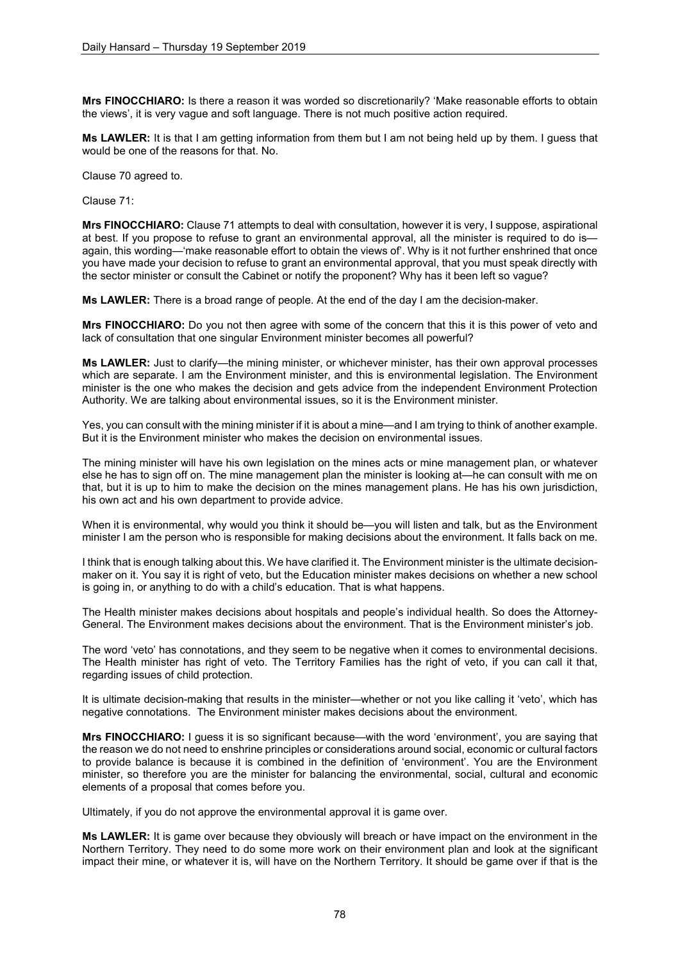**Mrs FINOCCHIARO:** Is there a reason it was worded so discretionarily? 'Make reasonable efforts to obtain the views', it is very vague and soft language. There is not much positive action required.

**Ms LAWLER:** It is that I am getting information from them but I am not being held up by them. I guess that would be one of the reasons for that. No.

Clause 70 agreed to.

Clause 71:

**Mrs FINOCCHIARO:** Clause 71 attempts to deal with consultation, however it is very, I suppose, aspirational at best. If you propose to refuse to grant an environmental approval, all the minister is required to do is again, this wording—'make reasonable effort to obtain the views of'. Why is it not further enshrined that once you have made your decision to refuse to grant an environmental approval, that you must speak directly with the sector minister or consult the Cabinet or notify the proponent? Why has it been left so vague?

**Ms LAWLER:** There is a broad range of people. At the end of the day I am the decision-maker.

**Mrs FINOCCHIARO:** Do you not then agree with some of the concern that this it is this power of veto and lack of consultation that one singular Environment minister becomes all powerful?

**Ms LAWLER:** Just to clarify—the mining minister, or whichever minister, has their own approval processes which are separate. I am the Environment minister, and this is environmental legislation. The Environment minister is the one who makes the decision and gets advice from the independent Environment Protection Authority. We are talking about environmental issues, so it is the Environment minister.

Yes, you can consult with the mining minister if it is about a mine—and I am trying to think of another example. But it is the Environment minister who makes the decision on environmental issues.

The mining minister will have his own legislation on the mines acts or mine management plan, or whatever else he has to sign off on. The mine management plan the minister is looking at—he can consult with me on that, but it is up to him to make the decision on the mines management plans. He has his own jurisdiction, his own act and his own department to provide advice.

When it is environmental, why would you think it should be—you will listen and talk, but as the Environment minister I am the person who is responsible for making decisions about the environment. It falls back on me.

I think that is enough talking about this. We have clarified it. The Environment minister is the ultimate decisionmaker on it. You say it is right of veto, but the Education minister makes decisions on whether a new school is going in, or anything to do with a child's education. That is what happens.

The Health minister makes decisions about hospitals and people's individual health. So does the Attorney-General. The Environment makes decisions about the environment. That is the Environment minister's job.

The word 'veto' has connotations, and they seem to be negative when it comes to environmental decisions. The Health minister has right of veto. The Territory Families has the right of veto, if you can call it that, regarding issues of child protection.

It is ultimate decision-making that results in the minister—whether or not you like calling it 'veto', which has negative connotations. The Environment minister makes decisions about the environment.

**Mrs FINOCCHIARO:** I guess it is so significant because—with the word 'environment', you are saying that the reason we do not need to enshrine principles or considerations around social, economic or cultural factors to provide balance is because it is combined in the definition of 'environment'. You are the Environment minister, so therefore you are the minister for balancing the environmental, social, cultural and economic elements of a proposal that comes before you.

Ultimately, if you do not approve the environmental approval it is game over.

**Ms LAWLER:** It is game over because they obviously will breach or have impact on the environment in the Northern Territory. They need to do some more work on their environment plan and look at the significant impact their mine, or whatever it is, will have on the Northern Territory. It should be game over if that is the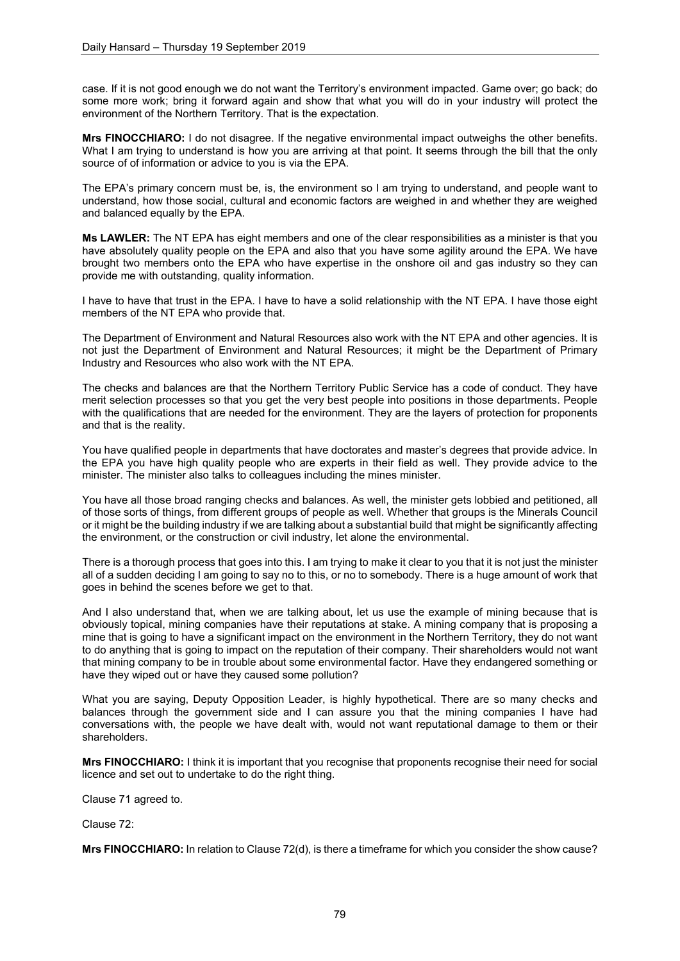case. If it is not good enough we do not want the Territory's environment impacted. Game over; go back; do some more work; bring it forward again and show that what you will do in your industry will protect the environment of the Northern Territory. That is the expectation.

**Mrs FINOCCHIARO:** I do not disagree. If the negative environmental impact outweighs the other benefits. What I am trying to understand is how you are arriving at that point. It seems through the bill that the only source of of information or advice to you is via the EPA.

The EPA's primary concern must be, is, the environment so I am trying to understand, and people want to understand, how those social, cultural and economic factors are weighed in and whether they are weighed and balanced equally by the EPA.

**Ms LAWLER:** The NT EPA has eight members and one of the clear responsibilities as a minister is that you have absolutely quality people on the EPA and also that you have some agility around the EPA. We have brought two members onto the EPA who have expertise in the onshore oil and gas industry so they can provide me with outstanding, quality information.

I have to have that trust in the EPA. I have to have a solid relationship with the NT EPA. I have those eight members of the NT EPA who provide that.

The Department of Environment and Natural Resources also work with the NT EPA and other agencies. It is not just the Department of Environment and Natural Resources; it might be the Department of Primary Industry and Resources who also work with the NT EPA.

The checks and balances are that the Northern Territory Public Service has a code of conduct. They have merit selection processes so that you get the very best people into positions in those departments. People with the qualifications that are needed for the environment. They are the layers of protection for proponents and that is the reality.

You have qualified people in departments that have doctorates and master's degrees that provide advice. In the EPA you have high quality people who are experts in their field as well. They provide advice to the minister. The minister also talks to colleagues including the mines minister.

You have all those broad ranging checks and balances. As well, the minister gets lobbied and petitioned, all of those sorts of things, from different groups of people as well. Whether that groups is the Minerals Council or it might be the building industry if we are talking about a substantial build that might be significantly affecting the environment, or the construction or civil industry, let alone the environmental.

There is a thorough process that goes into this. I am trying to make it clear to you that it is not just the minister all of a sudden deciding I am going to say no to this, or no to somebody. There is a huge amount of work that goes in behind the scenes before we get to that.

And I also understand that, when we are talking about, let us use the example of mining because that is obviously topical, mining companies have their reputations at stake. A mining company that is proposing a mine that is going to have a significant impact on the environment in the Northern Territory, they do not want to do anything that is going to impact on the reputation of their company. Their shareholders would not want that mining company to be in trouble about some environmental factor. Have they endangered something or have they wiped out or have they caused some pollution?

What you are saying, Deputy Opposition Leader, is highly hypothetical. There are so many checks and balances through the government side and I can assure you that the mining companies I have had conversations with, the people we have dealt with, would not want reputational damage to them or their shareholders.

**Mrs FINOCCHIARO:** I think it is important that you recognise that proponents recognise their need for social licence and set out to undertake to do the right thing.

Clause 71 agreed to.

Clause 72:

**Mrs FINOCCHIARO:** In relation to Clause 72(d), is there a timeframe for which you consider the show cause?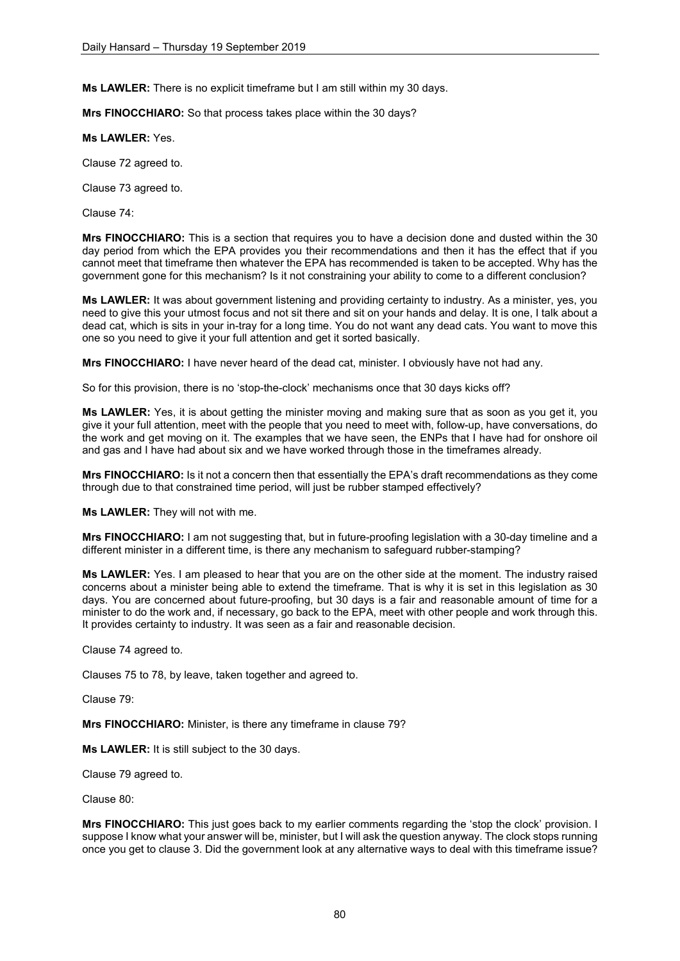**Ms LAWLER:** There is no explicit timeframe but I am still within my 30 days.

**Mrs FINOCCHIARO:** So that process takes place within the 30 days?

**Ms LAWLER:** Yes.

Clause 72 agreed to.

Clause 73 agreed to.

Clause 74:

**Mrs FINOCCHIARO:** This is a section that requires you to have a decision done and dusted within the 30 day period from which the EPA provides you their recommendations and then it has the effect that if you cannot meet that timeframe then whatever the EPA has recommended is taken to be accepted. Why has the government gone for this mechanism? Is it not constraining your ability to come to a different conclusion?

**Ms LAWLER:** It was about government listening and providing certainty to industry. As a minister, yes, you need to give this your utmost focus and not sit there and sit on your hands and delay. It is one, I talk about a dead cat, which is sits in your in-tray for a long time. You do not want any dead cats. You want to move this one so you need to give it your full attention and get it sorted basically.

**Mrs FINOCCHIARO:** I have never heard of the dead cat, minister. I obviously have not had any.

So for this provision, there is no 'stop-the-clock' mechanisms once that 30 days kicks off?

**Ms LAWLER:** Yes, it is about getting the minister moving and making sure that as soon as you get it, you give it your full attention, meet with the people that you need to meet with, follow-up, have conversations, do the work and get moving on it. The examples that we have seen, the ENPs that I have had for onshore oil and gas and I have had about six and we have worked through those in the timeframes already.

**Mrs FINOCCHIARO:** Is it not a concern then that essentially the EPA's draft recommendations as they come through due to that constrained time period, will just be rubber stamped effectively?

**Ms LAWLER:** They will not with me.

**Mrs FINOCCHIARO:** I am not suggesting that, but in future-proofing legislation with a 30-day timeline and a different minister in a different time, is there any mechanism to safeguard rubber-stamping?

**Ms LAWLER:** Yes. I am pleased to hear that you are on the other side at the moment. The industry raised concerns about a minister being able to extend the timeframe. That is why it is set in this legislation as 30 days. You are concerned about future-proofing, but 30 days is a fair and reasonable amount of time for a minister to do the work and, if necessary, go back to the EPA, meet with other people and work through this. It provides certainty to industry. It was seen as a fair and reasonable decision.

Clause 74 agreed to.

Clauses 75 to 78, by leave, taken together and agreed to.

Clause 79:

**Mrs FINOCCHIARO:** Minister, is there any timeframe in clause 79?

**Ms LAWLER:** It is still subject to the 30 days.

Clause 79 agreed to.

Clause 80:

**Mrs FINOCCHIARO:** This just goes back to my earlier comments regarding the 'stop the clock' provision. I suppose I know what your answer will be, minister, but I will ask the question anyway. The clock stops running once you get to clause 3. Did the government look at any alternative ways to deal with this timeframe issue?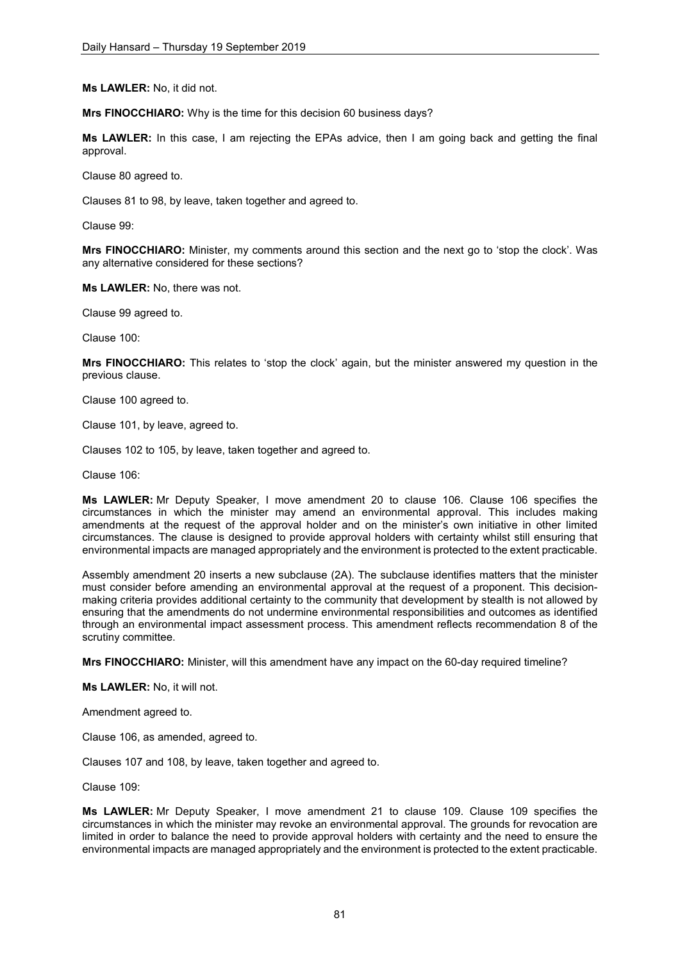**Ms LAWLER:** No, it did not.

**Mrs FINOCCHIARO:** Why is the time for this decision 60 business days?

**Ms LAWLER:** In this case, I am rejecting the EPAs advice, then I am going back and getting the final approval.

Clause 80 agreed to.

Clauses 81 to 98, by leave, taken together and agreed to.

Clause 99:

**Mrs FINOCCHIARO:** Minister, my comments around this section and the next go to 'stop the clock'. Was any alternative considered for these sections?

**Ms LAWLER:** No, there was not.

Clause 99 agreed to.

Clause 100:

**Mrs FINOCCHIARO:** This relates to 'stop the clock' again, but the minister answered my question in the previous clause.

Clause 100 agreed to.

Clause 101, by leave, agreed to.

Clauses 102 to 105, by leave, taken together and agreed to.

Clause 106:

**Ms LAWLER:** Mr Deputy Speaker, I move amendment 20 to clause 106. Clause 106 specifies the circumstances in which the minister may amend an environmental approval. This includes making amendments at the request of the approval holder and on the minister's own initiative in other limited circumstances. The clause is designed to provide approval holders with certainty whilst still ensuring that environmental impacts are managed appropriately and the environment is protected to the extent practicable.

Assembly amendment 20 inserts a new subclause (2A). The subclause identifies matters that the minister must consider before amending an environmental approval at the request of a proponent. This decisionmaking criteria provides additional certainty to the community that development by stealth is not allowed by ensuring that the amendments do not undermine environmental responsibilities and outcomes as identified through an environmental impact assessment process. This amendment reflects recommendation 8 of the scrutiny committee.

**Mrs FINOCCHIARO:** Minister, will this amendment have any impact on the 60-day required timeline?

**Ms LAWLER:** No, it will not.

Amendment agreed to.

Clause 106, as amended, agreed to.

Clauses 107 and 108, by leave, taken together and agreed to.

Clause 109:

**Ms LAWLER:** Mr Deputy Speaker, I move amendment 21 to clause 109. Clause 109 specifies the circumstances in which the minister may revoke an environmental approval. The grounds for revocation are limited in order to balance the need to provide approval holders with certainty and the need to ensure the environmental impacts are managed appropriately and the environment is protected to the extent practicable.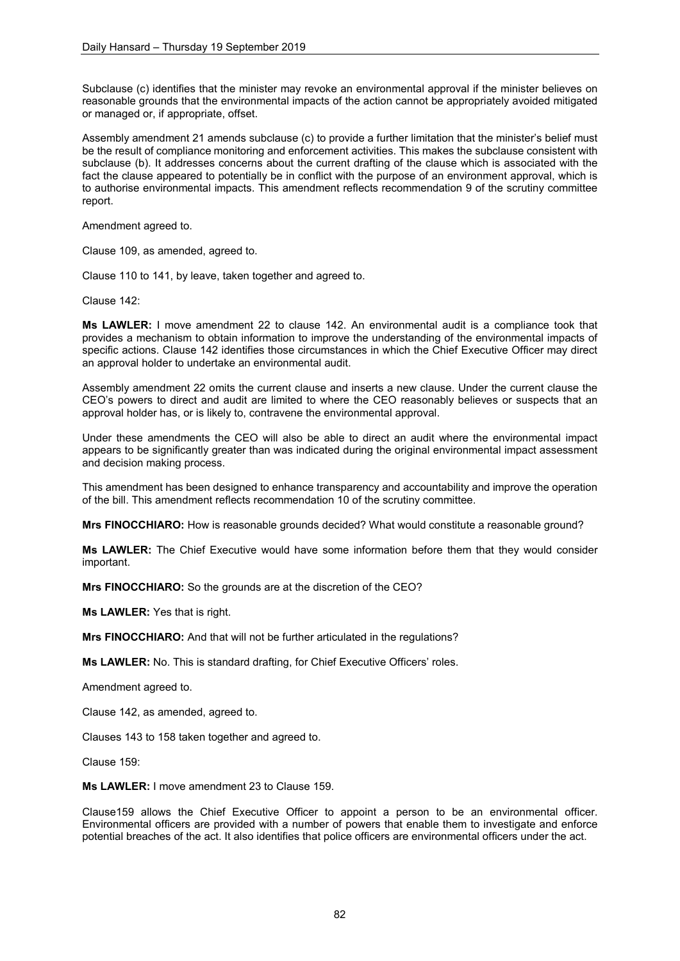Subclause (c) identifies that the minister may revoke an environmental approval if the minister believes on reasonable grounds that the environmental impacts of the action cannot be appropriately avoided mitigated or managed or, if appropriate, offset.

Assembly amendment 21 amends subclause (c) to provide a further limitation that the minister's belief must be the result of compliance monitoring and enforcement activities. This makes the subclause consistent with subclause (b). It addresses concerns about the current drafting of the clause which is associated with the fact the clause appeared to potentially be in conflict with the purpose of an environment approval, which is to authorise environmental impacts. This amendment reflects recommendation 9 of the scrutiny committee report.

Amendment agreed to.

Clause 109, as amended, agreed to.

Clause 110 to 141, by leave, taken together and agreed to.

Clause 142:

**Ms LAWLER:** I move amendment 22 to clause 142. An environmental audit is a compliance took that provides a mechanism to obtain information to improve the understanding of the environmental impacts of specific actions. Clause 142 identifies those circumstances in which the Chief Executive Officer may direct an approval holder to undertake an environmental audit.

Assembly amendment 22 omits the current clause and inserts a new clause. Under the current clause the CEO's powers to direct and audit are limited to where the CEO reasonably believes or suspects that an approval holder has, or is likely to, contravene the environmental approval.

Under these amendments the CEO will also be able to direct an audit where the environmental impact appears to be significantly greater than was indicated during the original environmental impact assessment and decision making process.

This amendment has been designed to enhance transparency and accountability and improve the operation of the bill. This amendment reflects recommendation 10 of the scrutiny committee.

**Mrs FINOCCHIARO:** How is reasonable grounds decided? What would constitute a reasonable ground?

**Ms LAWLER:** The Chief Executive would have some information before them that they would consider important.

**Mrs FINOCCHIARO:** So the grounds are at the discretion of the CEO?

**Ms LAWLER:** Yes that is right.

**Mrs FINOCCHIARO:** And that will not be further articulated in the regulations?

**Ms LAWLER:** No. This is standard drafting, for Chief Executive Officers' roles.

Amendment agreed to.

Clause 142, as amended, agreed to.

Clauses 143 to 158 taken together and agreed to.

Clause 159:

**Ms LAWLER:** I move amendment 23 to Clause 159.

Clause159 allows the Chief Executive Officer to appoint a person to be an environmental officer. Environmental officers are provided with a number of powers that enable them to investigate and enforce potential breaches of the act. It also identifies that police officers are environmental officers under the act.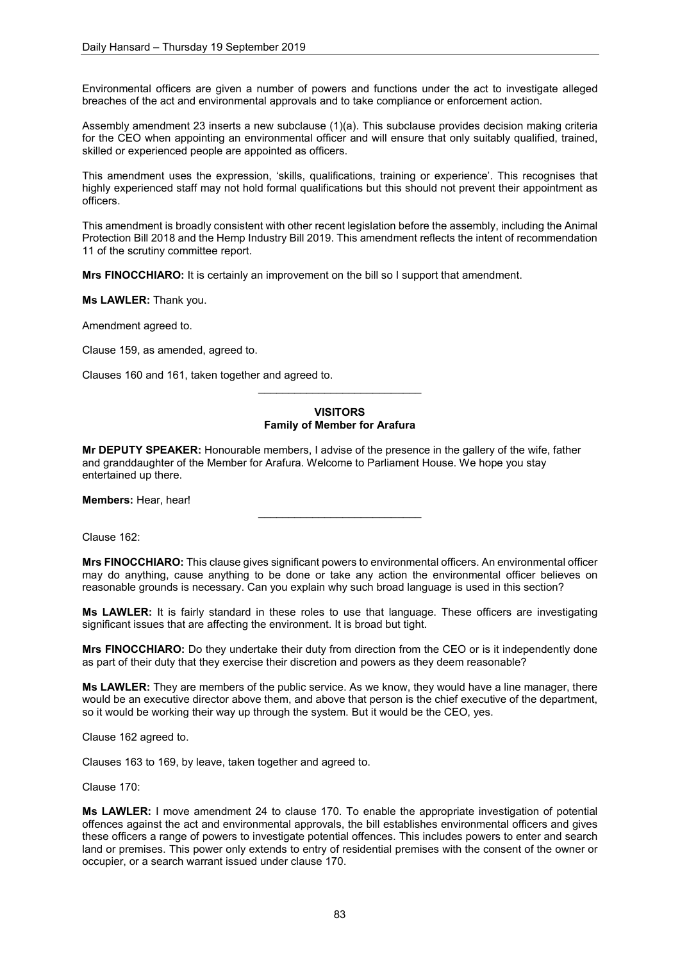Environmental officers are given a number of powers and functions under the act to investigate alleged breaches of the act and environmental approvals and to take compliance or enforcement action.

Assembly amendment 23 inserts a new subclause (1)(a). This subclause provides decision making criteria for the CEO when appointing an environmental officer and will ensure that only suitably qualified, trained, skilled or experienced people are appointed as officers.

This amendment uses the expression, 'skills, qualifications, training or experience'. This recognises that highly experienced staff may not hold formal qualifications but this should not prevent their appointment as officers.

This amendment is broadly consistent with other recent legislation before the assembly, including the Animal Protection Bill 2018 and the Hemp Industry Bill 2019. This amendment reflects the intent of recommendation 11 of the scrutiny committee report.

**Mrs FINOCCHIARO:** It is certainly an improvement on the bill so I support that amendment.

**Ms LAWLER:** Thank you.

Amendment agreed to.

Clause 159, as amended, agreed to.

Clauses 160 and 161, taken together and agreed to.

## **VISITORS Family of Member for Arafura**

\_\_\_\_\_\_\_\_\_\_\_\_\_\_\_\_\_\_\_\_\_\_\_\_\_\_\_

**Mr DEPUTY SPEAKER:** Honourable members, I advise of the presence in the gallery of the wife, father and granddaughter of the Member for Arafura. Welcome to Parliament House. We hope you stay entertained up there.

**Members:** Hear, hear!

Clause 162:

**Mrs FINOCCHIARO:** This clause gives significant powers to environmental officers. An environmental officer may do anything, cause anything to be done or take any action the environmental officer believes on reasonable grounds is necessary. Can you explain why such broad language is used in this section?

\_\_\_\_\_\_\_\_\_\_\_\_\_\_\_\_\_\_\_\_\_\_\_\_\_\_\_

**Ms LAWLER:** It is fairly standard in these roles to use that language. These officers are investigating significant issues that are affecting the environment. It is broad but tight.

**Mrs FINOCCHIARO:** Do they undertake their duty from direction from the CEO or is it independently done as part of their duty that they exercise their discretion and powers as they deem reasonable?

**Ms LAWLER:** They are members of the public service. As we know, they would have a line manager, there would be an executive director above them, and above that person is the chief executive of the department, so it would be working their way up through the system. But it would be the CEO, yes.

Clause 162 agreed to.

Clauses 163 to 169, by leave, taken together and agreed to.

Clause 170:

**Ms LAWLER:** I move amendment 24 to clause 170. To enable the appropriate investigation of potential offences against the act and environmental approvals, the bill establishes environmental officers and gives these officers a range of powers to investigate potential offences. This includes powers to enter and search land or premises. This power only extends to entry of residential premises with the consent of the owner or occupier, or a search warrant issued under clause 170.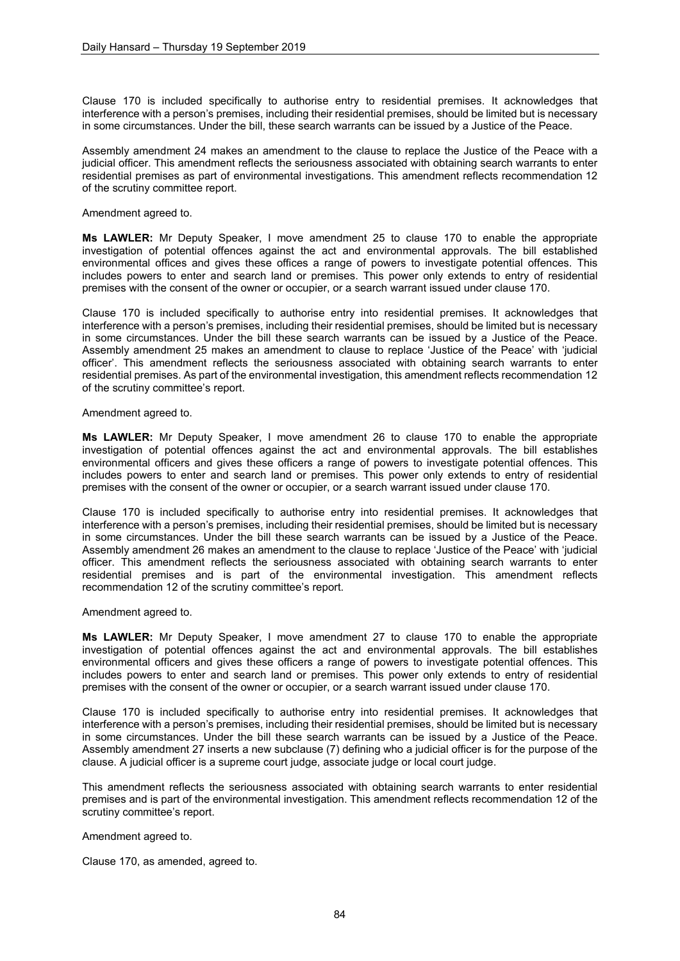Clause 170 is included specifically to authorise entry to residential premises. It acknowledges that interference with a person's premises, including their residential premises, should be limited but is necessary in some circumstances. Under the bill, these search warrants can be issued by a Justice of the Peace.

Assembly amendment 24 makes an amendment to the clause to replace the Justice of the Peace with a judicial officer. This amendment reflects the seriousness associated with obtaining search warrants to enter residential premises as part of environmental investigations. This amendment reflects recommendation 12 of the scrutiny committee report.

Amendment agreed to.

**Ms LAWLER:** Mr Deputy Speaker, I move amendment 25 to clause 170 to enable the appropriate investigation of potential offences against the act and environmental approvals. The bill established environmental offices and gives these offices a range of powers to investigate potential offences. This includes powers to enter and search land or premises. This power only extends to entry of residential premises with the consent of the owner or occupier, or a search warrant issued under clause 170.

Clause 170 is included specifically to authorise entry into residential premises. It acknowledges that interference with a person's premises, including their residential premises, should be limited but is necessary in some circumstances. Under the bill these search warrants can be issued by a Justice of the Peace. Assembly amendment 25 makes an amendment to clause to replace 'Justice of the Peace' with 'judicial officer'. This amendment reflects the seriousness associated with obtaining search warrants to enter residential premises. As part of the environmental investigation, this amendment reflects recommendation 12 of the scrutiny committee's report.

Amendment agreed to.

**Ms LAWLER:** Mr Deputy Speaker, I move amendment 26 to clause 170 to enable the appropriate investigation of potential offences against the act and environmental approvals. The bill establishes environmental officers and gives these officers a range of powers to investigate potential offences. This includes powers to enter and search land or premises. This power only extends to entry of residential premises with the consent of the owner or occupier, or a search warrant issued under clause 170.

Clause 170 is included specifically to authorise entry into residential premises. It acknowledges that interference with a person's premises, including their residential premises, should be limited but is necessary in some circumstances. Under the bill these search warrants can be issued by a Justice of the Peace. Assembly amendment 26 makes an amendment to the clause to replace 'Justice of the Peace' with 'judicial officer. This amendment reflects the seriousness associated with obtaining search warrants to enter residential premises and is part of the environmental investigation. This amendment reflects recommendation 12 of the scrutiny committee's report.

Amendment agreed to.

**Ms LAWLER:** Mr Deputy Speaker, I move amendment 27 to clause 170 to enable the appropriate investigation of potential offences against the act and environmental approvals. The bill establishes environmental officers and gives these officers a range of powers to investigate potential offences. This includes powers to enter and search land or premises. This power only extends to entry of residential premises with the consent of the owner or occupier, or a search warrant issued under clause 170.

Clause 170 is included specifically to authorise entry into residential premises. It acknowledges that interference with a person's premises, including their residential premises, should be limited but is necessary in some circumstances. Under the bill these search warrants can be issued by a Justice of the Peace. Assembly amendment 27 inserts a new subclause (7) defining who a judicial officer is for the purpose of the clause. A judicial officer is a supreme court judge, associate judge or local court judge.

This amendment reflects the seriousness associated with obtaining search warrants to enter residential premises and is part of the environmental investigation. This amendment reflects recommendation 12 of the scrutiny committee's report.

Amendment agreed to.

Clause 170, as amended, agreed to.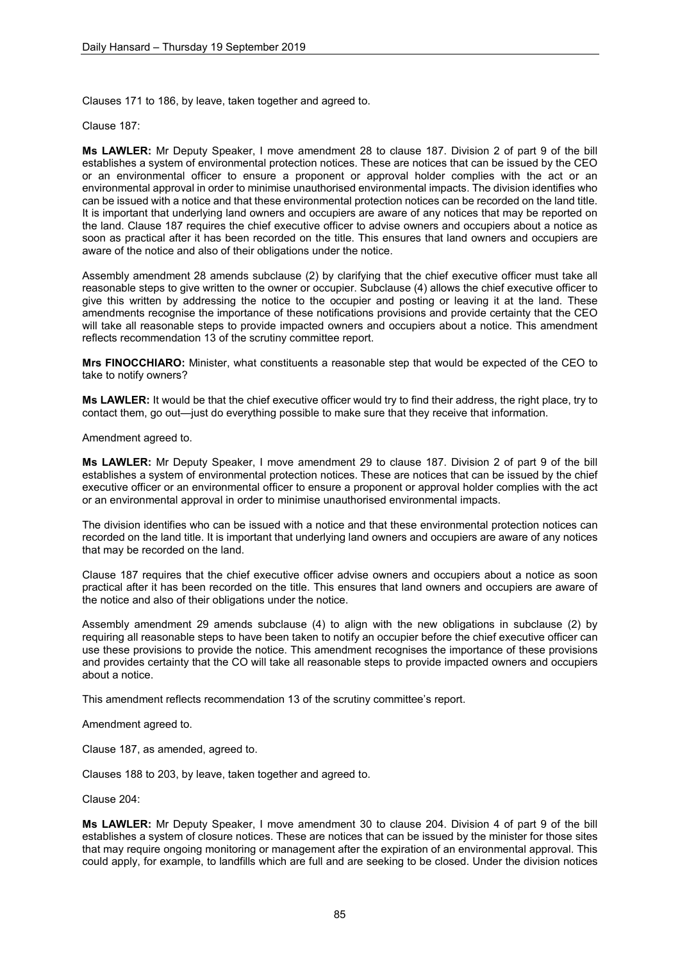Clauses 171 to 186, by leave, taken together and agreed to.

Clause 187:

**Ms LAWLER:** Mr Deputy Speaker, I move amendment 28 to clause 187. Division 2 of part 9 of the bill establishes a system of environmental protection notices. These are notices that can be issued by the CEO or an environmental officer to ensure a proponent or approval holder complies with the act or an environmental approval in order to minimise unauthorised environmental impacts. The division identifies who can be issued with a notice and that these environmental protection notices can be recorded on the land title. It is important that underlying land owners and occupiers are aware of any notices that may be reported on the land. Clause 187 requires the chief executive officer to advise owners and occupiers about a notice as soon as practical after it has been recorded on the title. This ensures that land owners and occupiers are aware of the notice and also of their obligations under the notice.

Assembly amendment 28 amends subclause (2) by clarifying that the chief executive officer must take all reasonable steps to give written to the owner or occupier. Subclause (4) allows the chief executive officer to give this written by addressing the notice to the occupier and posting or leaving it at the land. These amendments recognise the importance of these notifications provisions and provide certainty that the CEO will take all reasonable steps to provide impacted owners and occupiers about a notice. This amendment reflects recommendation 13 of the scrutiny committee report.

**Mrs FINOCCHIARO:** Minister, what constituents a reasonable step that would be expected of the CEO to take to notify owners?

**Ms LAWLER:** It would be that the chief executive officer would try to find their address, the right place, try to contact them, go out—just do everything possible to make sure that they receive that information.

Amendment agreed to.

**Ms LAWLER:** Mr Deputy Speaker, I move amendment 29 to clause 187. Division 2 of part 9 of the bill establishes a system of environmental protection notices. These are notices that can be issued by the chief executive officer or an environmental officer to ensure a proponent or approval holder complies with the act or an environmental approval in order to minimise unauthorised environmental impacts.

The division identifies who can be issued with a notice and that these environmental protection notices can recorded on the land title. It is important that underlying land owners and occupiers are aware of any notices that may be recorded on the land.

Clause 187 requires that the chief executive officer advise owners and occupiers about a notice as soon practical after it has been recorded on the title. This ensures that land owners and occupiers are aware of the notice and also of their obligations under the notice.

Assembly amendment 29 amends subclause (4) to align with the new obligations in subclause (2) by requiring all reasonable steps to have been taken to notify an occupier before the chief executive officer can use these provisions to provide the notice. This amendment recognises the importance of these provisions and provides certainty that the CO will take all reasonable steps to provide impacted owners and occupiers about a notice.

This amendment reflects recommendation 13 of the scrutiny committee's report.

Amendment agreed to.

Clause 187, as amended, agreed to.

Clauses 188 to 203, by leave, taken together and agreed to.

Clause 204:

**Ms LAWLER:** Mr Deputy Speaker, I move amendment 30 to clause 204. Division 4 of part 9 of the bill establishes a system of closure notices. These are notices that can be issued by the minister for those sites that may require ongoing monitoring or management after the expiration of an environmental approval. This could apply, for example, to landfills which are full and are seeking to be closed. Under the division notices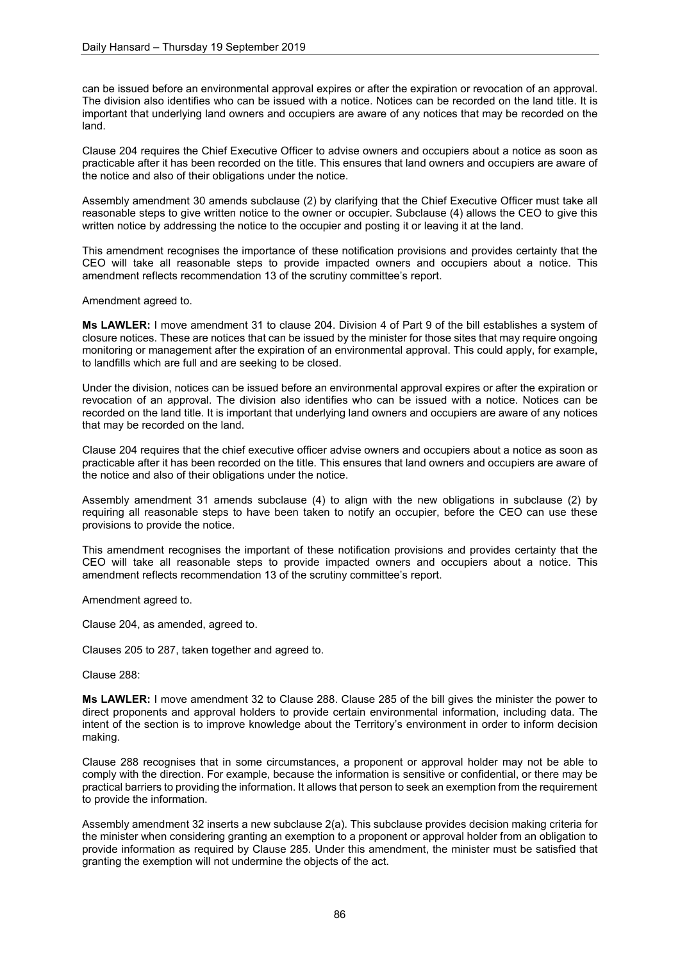can be issued before an environmental approval expires or after the expiration or revocation of an approval. The division also identifies who can be issued with a notice. Notices can be recorded on the land title. It is important that underlying land owners and occupiers are aware of any notices that may be recorded on the land.

Clause 204 requires the Chief Executive Officer to advise owners and occupiers about a notice as soon as practicable after it has been recorded on the title. This ensures that land owners and occupiers are aware of the notice and also of their obligations under the notice.

Assembly amendment 30 amends subclause (2) by clarifying that the Chief Executive Officer must take all reasonable steps to give written notice to the owner or occupier. Subclause (4) allows the CEO to give this written notice by addressing the notice to the occupier and posting it or leaving it at the land.

This amendment recognises the importance of these notification provisions and provides certainty that the CEO will take all reasonable steps to provide impacted owners and occupiers about a notice. This amendment reflects recommendation 13 of the scrutiny committee's report.

Amendment agreed to.

**Ms LAWLER:** I move amendment 31 to clause 204. Division 4 of Part 9 of the bill establishes a system of closure notices. These are notices that can be issued by the minister for those sites that may require ongoing monitoring or management after the expiration of an environmental approval. This could apply, for example, to landfills which are full and are seeking to be closed.

Under the division, notices can be issued before an environmental approval expires or after the expiration or revocation of an approval. The division also identifies who can be issued with a notice. Notices can be recorded on the land title. It is important that underlying land owners and occupiers are aware of any notices that may be recorded on the land.

Clause 204 requires that the chief executive officer advise owners and occupiers about a notice as soon as practicable after it has been recorded on the title. This ensures that land owners and occupiers are aware of the notice and also of their obligations under the notice.

Assembly amendment 31 amends subclause (4) to align with the new obligations in subclause (2) by requiring all reasonable steps to have been taken to notify an occupier, before the CEO can use these provisions to provide the notice.

This amendment recognises the important of these notification provisions and provides certainty that the CEO will take all reasonable steps to provide impacted owners and occupiers about a notice. This amendment reflects recommendation 13 of the scrutiny committee's report.

Amendment agreed to.

Clause 204, as amended, agreed to.

Clauses 205 to 287, taken together and agreed to.

Clause 288:

**Ms LAWLER:** I move amendment 32 to Clause 288. Clause 285 of the bill gives the minister the power to direct proponents and approval holders to provide certain environmental information, including data. The intent of the section is to improve knowledge about the Territory's environment in order to inform decision making.

Clause 288 recognises that in some circumstances, a proponent or approval holder may not be able to comply with the direction. For example, because the information is sensitive or confidential, or there may be practical barriers to providing the information. It allows that person to seek an exemption from the requirement to provide the information.

Assembly amendment 32 inserts a new subclause 2(a). This subclause provides decision making criteria for the minister when considering granting an exemption to a proponent or approval holder from an obligation to provide information as required by Clause 285. Under this amendment, the minister must be satisfied that granting the exemption will not undermine the objects of the act.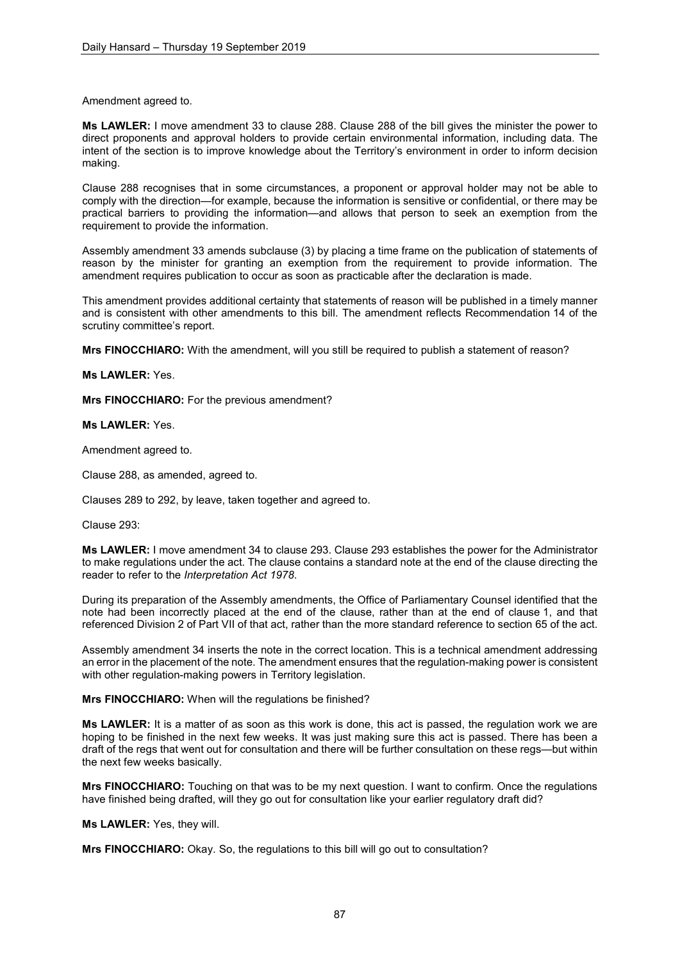Amendment agreed to.

**Ms LAWLER:** I move amendment 33 to clause 288. Clause 288 of the bill gives the minister the power to direct proponents and approval holders to provide certain environmental information, including data. The intent of the section is to improve knowledge about the Territory's environment in order to inform decision making.

Clause 288 recognises that in some circumstances, a proponent or approval holder may not be able to comply with the direction—for example, because the information is sensitive or confidential, or there may be practical barriers to providing the information—and allows that person to seek an exemption from the requirement to provide the information.

Assembly amendment 33 amends subclause (3) by placing a time frame on the publication of statements of reason by the minister for granting an exemption from the requirement to provide information. The amendment requires publication to occur as soon as practicable after the declaration is made.

This amendment provides additional certainty that statements of reason will be published in a timely manner and is consistent with other amendments to this bill. The amendment reflects Recommendation 14 of the scrutiny committee's report.

**Mrs FINOCCHIARO:** With the amendment, will you still be required to publish a statement of reason?

## **Ms LAWLER:** Yes.

**Mrs FINOCCHIARO:** For the previous amendment?

## **Ms LAWLER:** Yes.

Amendment agreed to.

Clause 288, as amended, agreed to.

Clauses 289 to 292, by leave, taken together and agreed to.

Clause 293:

**Ms LAWLER:** I move amendment 34 to clause 293. Clause 293 establishes the power for the Administrator to make regulations under the act. The clause contains a standard note at the end of the clause directing the reader to refer to the *Interpretation Act 1978*.

During its preparation of the Assembly amendments, the Office of Parliamentary Counsel identified that the note had been incorrectly placed at the end of the clause, rather than at the end of clause 1, and that referenced Division 2 of Part VII of that act, rather than the more standard reference to section 65 of the act.

Assembly amendment 34 inserts the note in the correct location. This is a technical amendment addressing an error in the placement of the note. The amendment ensures that the regulation-making power is consistent with other regulation-making powers in Territory legislation.

### **Mrs FINOCCHIARO:** When will the regulations be finished?

**Ms LAWLER:** It is a matter of as soon as this work is done, this act is passed, the regulation work we are hoping to be finished in the next few weeks. It was just making sure this act is passed. There has been a draft of the regs that went out for consultation and there will be further consultation on these regs—but within the next few weeks basically.

**Mrs FINOCCHIARO:** Touching on that was to be my next question. I want to confirm. Once the regulations have finished being drafted, will they go out for consultation like your earlier regulatory draft did?

### **Ms LAWLER:** Yes, they will.

**Mrs FINOCCHIARO:** Okay. So, the regulations to this bill will go out to consultation?